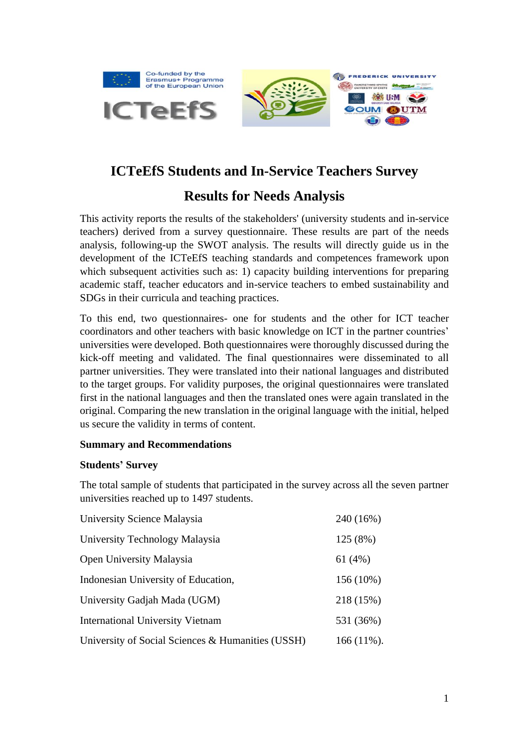

# **ICTeEfS Students and In-Service Teachers Survey**

# **Results for Needs Analysis**

This activity reports the results of the stakeholders' (university students and in-service teachers) derived from a survey questionnaire. These results are part of the needs analysis, following-up the SWOT analysis. The results will directly guide us in the development of the ICTeEfS teaching standards and competences framework upon which subsequent activities such as: 1) capacity building interventions for preparing academic staff, teacher educators and in-service teachers to embed sustainability and SDGs in their curricula and teaching practices.

To this end, two questionnaires- one for students and the other for ICT teacher coordinators and other teachers with basic knowledge on ICT in the partner countries' universities were developed. Both questionnaires were thoroughly discussed during the kick-off meeting and validated. The final questionnaires were disseminated to all partner universities. They were translated into their national languages and distributed to the target groups. For validity purposes, the original questionnaires were translated first in the national languages and then the translated ones were again translated in the original. Comparing the new translation in the original language with the initial, helped us secure the validity in terms of content.

## **Summary and Recommendations**

## **Students' Survey**

The total sample of students that participated in the survey across all the seven partner universities reached up to 1497 students.

| University Science Malaysia                       | 240 (16%)    |
|---------------------------------------------------|--------------|
| University Technology Malaysia                    | 125 (8%)     |
| <b>Open University Malaysia</b>                   | 61 $(4\%)$   |
| Indonesian University of Education,               | 156 (10%)    |
| University Gadjah Mada (UGM)                      | 218 (15%)    |
| <b>International University Vietnam</b>           | 531 (36%)    |
| University of Social Sciences & Humanities (USSH) | $166(11\%).$ |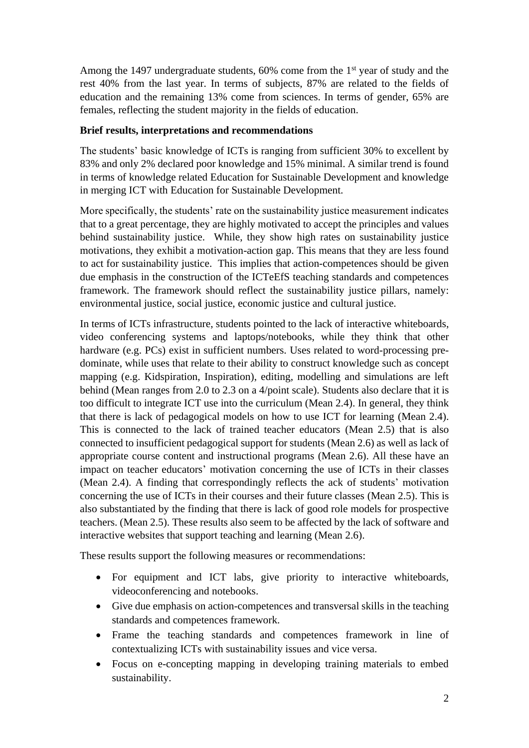Among the 1497 undergraduate students, 60% come from the 1<sup>st</sup> year of study and the rest 40% from the last year. In terms of subjects, 87% are related to the fields of education and the remaining 13% come from sciences. In terms of gender, 65% are females, reflecting the student majority in the fields of education.

## **Brief results, interpretations and recommendations**

The students' basic knowledge of ICTs is ranging from sufficient 30% to excellent by 83% and only 2% declared poor knowledge and 15% minimal. A similar trend is found in terms of knowledge related Education for Sustainable Development and knowledge in merging ICT with Education for Sustainable Development.

More specifically, the students' rate on the sustainability justice measurement indicates that to a great percentage, they are highly motivated to accept the principles and values behind sustainability justice. While, they show high rates on sustainability justice motivations, they exhibit a motivation-action gap. This means that they are less found to act for sustainability justice. This implies that action-competences should be given due emphasis in the construction of the ICTeEfS teaching standards and competences framework. The framework should reflect the sustainability justice pillars, namely: environmental justice, social justice, economic justice and cultural justice.

In terms of ICTs infrastructure, students pointed to the lack of interactive whiteboards, video conferencing systems and laptops/notebooks, while they think that other hardware (e.g. PCs) exist in sufficient numbers. Uses related to word-processing predominate, while uses that relate to their ability to construct knowledge such as concept mapping (e.g. Kidspiration, Inspiration), editing, modelling and simulations are left behind (Mean ranges from 2.0 to 2.3 on a 4/point scale). Students also declare that it is too difficult to integrate ICT use into the curriculum (Mean 2.4). In general, they think that there is lack of pedagogical models on how to use ICT for learning (Mean 2.4). This is connected to the lack of trained teacher educators (Mean 2.5) that is also connected to insufficient pedagogical support for students (Mean 2.6) as well as lack of appropriate course content and instructional programs (Mean 2.6). All these have an impact on teacher educators' motivation concerning the use of ICTs in their classes (Mean 2.4). A finding that correspondingly reflects the ack of students' motivation concerning the use of ICTs in their courses and their future classes (Mean 2.5). This is also substantiated by the finding that there is lack of good role models for prospective teachers. (Mean 2.5). These results also seem to be affected by the lack of software and interactive websites that support teaching and learning (Mean 2.6).

These results support the following measures or recommendations:

- For equipment and ICT labs, give priority to interactive whiteboards, videoconferencing and notebooks.
- Give due emphasis on action-competences and transversal skills in the teaching standards and competences framework.
- Frame the teaching standards and competences framework in line of contextualizing ICTs with sustainability issues and vice versa.
- Focus on e-concepting mapping in developing training materials to embed sustainability.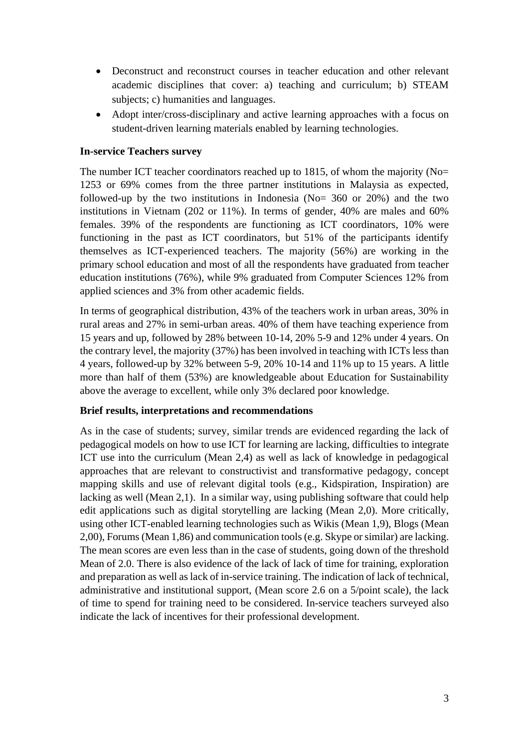- Deconstruct and reconstruct courses in teacher education and other relevant academic disciplines that cover: a) teaching and curriculum; b) STEAM subjects; c) humanities and languages.
- Adopt inter/cross-disciplinary and active learning approaches with a focus on student-driven learning materials enabled by learning technologies.

#### **In-service Teachers survey**

The number ICT teacher coordinators reached up to 1815, of whom the majority (No= 1253 or 69% comes from the three partner institutions in Malaysia as expected, followed-up by the two institutions in Indonesia ( $No = 360$  or 20%) and the two institutions in Vietnam (202 or 11%). In terms of gender, 40% are males and 60% females. 39% of the respondents are functioning as ICT coordinators, 10% were functioning in the past as ICT coordinators, but 51% of the participants identify themselves as ICT-experienced teachers. The majority (56%) are working in the primary school education and most of all the respondents have graduated from teacher education institutions (76%), while 9% graduated from Computer Sciences 12% from applied sciences and 3% from other academic fields.

In terms of geographical distribution, 43% of the teachers work in urban areas, 30% in rural areas and 27% in semi-urban areas. 40% of them have teaching experience from 15 years and up, followed by 28% between 10-14, 20% 5-9 and 12% under 4 years. On the contrary level, the majority (37%) has been involved in teaching with ICTs less than 4 years, followed-up by 32% between 5-9, 20% 10-14 and 11% up to 15 years. A little more than half of them (53%) are knowledgeable about Education for Sustainability above the average to excellent, while only 3% declared poor knowledge.

#### **Brief results, interpretations and recommendations**

As in the case of students; survey, similar trends are evidenced regarding the lack of pedagogical models on how to use ICT for learning are lacking, difficulties to integrate ICT use into the curriculum (Mean 2,4) as well as lack of knowledge in pedagogical approaches that are relevant to constructivist and transformative pedagogy, concept mapping skills and use of relevant digital tools (e.g., Kidspiration, Inspiration) are lacking as well (Mean 2,1). In a similar way, using publishing software that could help edit applications such as digital storytelling are lacking (Mean 2,0). More critically, using other ICT-enabled learning technologies such as Wikis (Mean 1,9), Blogs (Mean 2,00), Forums(Mean 1,86) and communication tools (e.g. Skype or similar) are lacking. The mean scores are even less than in the case of students, going down of the threshold Mean of 2.0. There is also evidence of the lack of lack of time for training, exploration and preparation as well as lack of in-service training. The indication of lack of technical, administrative and institutional support, (Mean score 2.6 on a 5/point scale), the lack of time to spend for training need to be considered. In-service teachers surveyed also indicate the lack of incentives for their professional development.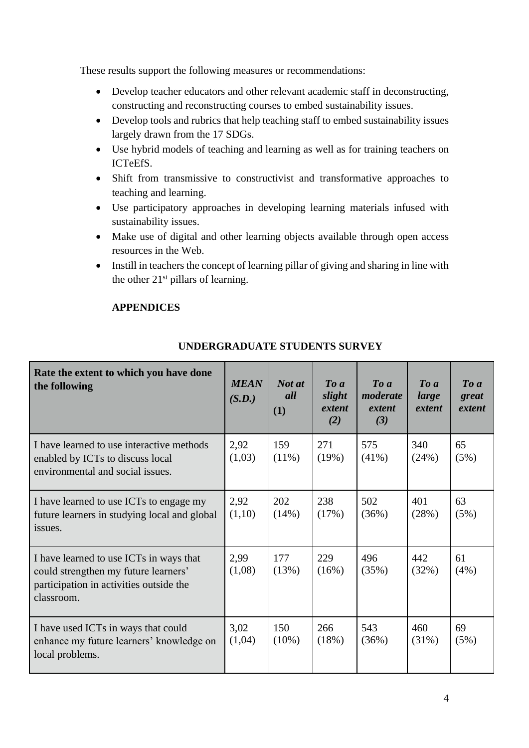These results support the following measures or recommendations:

- Develop teacher educators and other relevant academic staff in deconstructing, constructing and reconstructing courses to embed sustainability issues.
- Develop tools and rubrics that help teaching staff to embed sustainability issues largely drawn from the 17 SDGs.
- Use hybrid models of teaching and learning as well as for training teachers on ICTeEfS.
- Shift from transmissive to constructivist and transformative approaches to teaching and learning.
- Use participatory approaches in developing learning materials infused with sustainability issues.
- Make use of digital and other learning objects available through open access resources in the Web.
- Instill in teachers the concept of learning pillar of giving and sharing in line with the other 21<sup>st</sup> pillars of learning.

## **APPENDICES**

| Rate the extent to which you have done<br>the following                                                                                  | <b>MEAN</b><br>(S.D.) | Not at<br>all<br>(1) | $\boldsymbol{To}$ a<br>slight<br>extent<br>(2) | $\boldsymbol{To}$ a<br>moderate<br>extent<br>(3) | $\boldsymbol{To}$ a<br>large<br>extent | $\boldsymbol{To}$ a<br>great<br>extent |
|------------------------------------------------------------------------------------------------------------------------------------------|-----------------------|----------------------|------------------------------------------------|--------------------------------------------------|----------------------------------------|----------------------------------------|
| I have learned to use interactive methods<br>enabled by ICTs to discuss local<br>environmental and social issues.                        | 2,92<br>(1,03)        | 159<br>$(11\%)$      | 271<br>(19%)                                   | 575<br>$(41\%)$                                  | 340<br>(24%)                           | 65<br>(5%)                             |
| I have learned to use ICTs to engage my<br>future learners in studying local and global<br>issues.                                       | 2,92<br>(1,10)        | 202<br>(14%)         | 238<br>(17%)                                   | 502<br>(36%)                                     | 401<br>(28%)                           | 63<br>(5%)                             |
| I have learned to use ICTs in ways that<br>could strengthen my future learners'<br>participation in activities outside the<br>classroom. | 2,99<br>(1,08)        | 177<br>(13%)         | 229<br>(16%)                                   | 496<br>(35%)                                     | 442<br>(32%)                           | 61<br>(4%)                             |
| I have used ICTs in ways that could<br>enhance my future learners' knowledge on<br>local problems.                                       | 3,02<br>(1,04)        | 150<br>$(10\%)$      | 266<br>(18%)                                   | 543<br>(36%)                                     | 460<br>$(31\%)$                        | 69<br>(5%)                             |

## **UNDERGRADUATE STUDENTS SURVEY**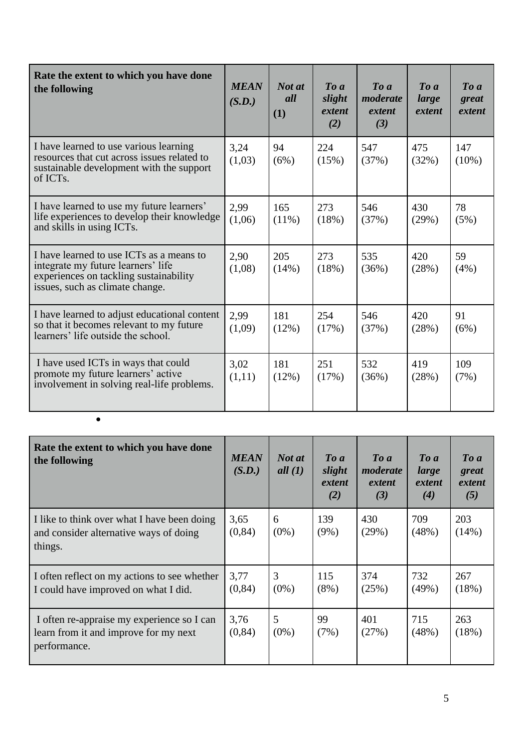| Rate the extent to which you have done<br>the following                                                                                                     | <b>MEAN</b><br>(S.D.) | Not at<br>all<br>(1) | $\boldsymbol{To}$ a<br>slight<br>extent<br>(2) | $\boldsymbol{To} \boldsymbol{a}$<br>moderate<br>extent<br>(3) | $\boldsymbol{To} \boldsymbol{a}$<br>large<br>extent | $\boldsymbol{To}$ a<br>great<br>extent |
|-------------------------------------------------------------------------------------------------------------------------------------------------------------|-----------------------|----------------------|------------------------------------------------|---------------------------------------------------------------|-----------------------------------------------------|----------------------------------------|
| I have learned to use various learning<br>resources that cut across issues related to<br>sustainable development with the support<br>of ICTs.               | 3,24<br>(1,03)        | 94<br>(6%)           | 224<br>(15%)                                   | 547<br>(37%)                                                  | 475<br>(32%)                                        | 147<br>$(10\%)$                        |
| I have learned to use my future learners'<br>life experiences to develop their knowledge<br>and skills in using ICTs.                                       | 2,99<br>(1,06)        | 165<br>$(11\%)$      | 273<br>(18%)                                   | 546<br>(37%)                                                  | 430<br>(29%)                                        | 78<br>(5%)                             |
| I have learned to use ICTs as a means to<br>integrate my future learners' life<br>experiences on tackling sustainability<br>issues, such as climate change. | 2.90<br>(1,08)        | 205<br>(14%)         | 273<br>(18%)                                   | 535<br>(36%)                                                  | 420<br>(28%)                                        | 59<br>(4%)                             |
| I have learned to adjust educational content<br>so that it becomes relevant to my future<br>learners' life outside the school.                              | 2,99<br>(1,09)        | 181<br>(12%)         | 254<br>(17%)                                   | 546<br>(37%)                                                  | 420<br>(28%)                                        | 91<br>(6%)                             |
| I have used ICTs in ways that could<br>promote my future learners' active<br>involvement in solving real-life problems.                                     | 3,02<br>(1,11)        | 181<br>(12%)         | 251<br>(17%)                                   | 532<br>(36%)                                                  | 419<br>(28%)                                        | 109<br>(7%)                            |

| Rate the extent to which you have done<br>the following                                             | <b>MEAN</b><br>(S.D.) | Not at<br>all $(1)$ | $\boldsymbol{To}$ a<br>slight<br>extent<br>(2) | $\boldsymbol{To}$ a<br>moderate<br>extent<br>(3) | $\boldsymbol{To}$ a<br>large<br>extent<br>(4) | $\boldsymbol{To}$ a<br>great<br>extent<br>(5) |
|-----------------------------------------------------------------------------------------------------|-----------------------|---------------------|------------------------------------------------|--------------------------------------------------|-----------------------------------------------|-----------------------------------------------|
| I like to think over what I have been doing<br>and consider alternative ways of doing<br>things.    | 3,65<br>(0, 84)       | 6<br>$(0\%)$        | 139<br>$(9\%)$                                 | 430<br>(29%)                                     | 709<br>(48%)                                  | 203<br>(14%)                                  |
| I often reflect on my actions to see whether<br>I could have improved on what I did.                | 3,77<br>(0, 84)       | 3<br>$(0\%)$        | 115<br>$(8\%)$                                 | 374<br>(25%)                                     | 732<br>$(49\%)$                               | 267<br>(18%)                                  |
| I often re-appraise my experience so I can<br>learn from it and improve for my next<br>performance. | 3,76<br>(0, 84)       | 5<br>$(0\%)$        | 99<br>(7%)                                     | 401<br>(27%)                                     | 715<br>(48%)                                  | 263<br>(18%)                                  |

•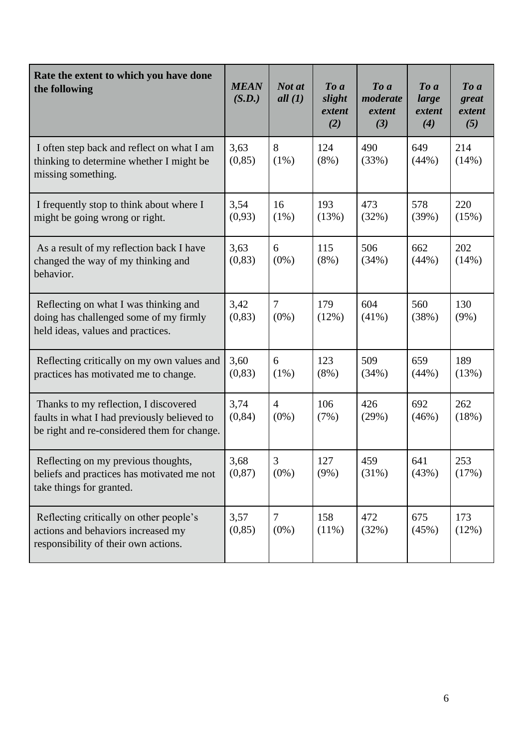| Rate the extent to which you have done<br>the following                                                                             | <b>MEAN</b><br>(S.D.) | Not at<br>all $(1)$       | To a<br>slight<br>extent<br>(2) | To a<br>moderate<br>extent<br>(3) | To a<br>large<br>extent<br>(4) | To a<br>great<br>extent<br>(5) |
|-------------------------------------------------------------------------------------------------------------------------------------|-----------------------|---------------------------|---------------------------------|-----------------------------------|--------------------------------|--------------------------------|
| I often step back and reflect on what I am<br>thinking to determine whether I might be<br>missing something.                        | 3,63<br>(0, 85)       | 8<br>$(1\%)$              | 124<br>$(8\%)$                  | 490<br>(33%)                      | 649<br>(44%)                   | 214<br>(14%)                   |
| I frequently stop to think about where I<br>might be going wrong or right.                                                          | 3,54<br>(0,93)        | 16<br>$(1\%)$             | 193<br>(13%)                    | 473<br>(32%)                      | 578<br>(39%)                   | 220<br>(15%)                   |
| As a result of my reflection back I have<br>changed the way of my thinking and<br>behavior.                                         | 3,63<br>(0, 83)       | 6<br>$(0\%)$              | 115<br>$(8\%)$                  | 506<br>(34%)                      | 662<br>(44%)                   | 202<br>(14%)                   |
| Reflecting on what I was thinking and<br>doing has challenged some of my firmly<br>held ideas, values and practices.                | 3,42<br>(0, 83)       | 7<br>$(0\%)$              | 179<br>(12%)                    | 604<br>$(41\%)$                   | 560<br>(38%)                   | 130<br>$(9\%)$                 |
| Reflecting critically on my own values and<br>practices has motivated me to change.                                                 | 3,60<br>(0, 83)       | 6<br>$(1\%)$              | 123<br>$(8\%)$                  | 509<br>(34%)                      | 659<br>(44%)                   | 189<br>(13%)                   |
| Thanks to my reflection, I discovered<br>faults in what I had previously believed to<br>be right and re-considered them for change. | 3,74<br>(0, 84)       | $\overline{4}$<br>$(0\%)$ | 106<br>(7%)                     | 426<br>(29%)                      | 692<br>(46%)                   | 262<br>(18%)                   |
| Reflecting on my previous thoughts,<br>beliefs and practices has motivated me not<br>take things for granted.                       | 3,68<br>(0, 87)       | $\mathfrak{Z}$<br>$(0\%)$ | 127<br>$(9\%)$                  | 459<br>(31%)                      | 641<br>(43%)                   | 253<br>(17%)                   |
| Reflecting critically on other people's<br>actions and behaviors increased my<br>responsibility of their own actions.               | 3,57<br>(0, 85)       | 7<br>$(0\%)$              | 158<br>$(11\%)$                 | 472<br>(32%)                      | 675<br>(45%)                   | 173<br>(12%)                   |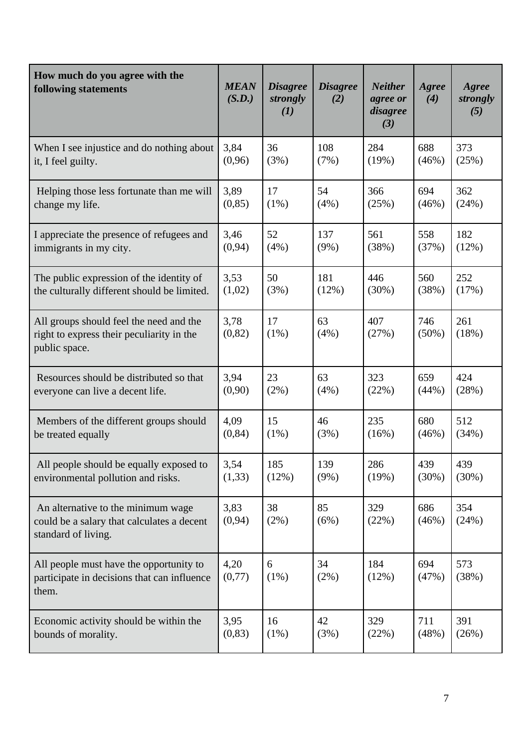| How much do you agree with the<br>following statements                                                  | <b>MEAN</b><br>(S.D.) | <b>Disagree</b><br>strongly<br>(I) | <b>Disagree</b><br>(2) | <b>Neither</b><br>agree or<br>disagree<br>(3) | Agree<br>(4)    | Agree<br>strongly<br>(5) |
|---------------------------------------------------------------------------------------------------------|-----------------------|------------------------------------|------------------------|-----------------------------------------------|-----------------|--------------------------|
| When I see injustice and do nothing about                                                               | 3,84                  | 36                                 | 108                    | 284                                           | 688             | 373                      |
| it, I feel guilty.                                                                                      | (0,96)                | (3%)                               | (7%)                   | (19%)                                         | (46%)           | (25%)                    |
| Helping those less fortunate than me will                                                               | 3,89                  | 17                                 | 54                     | 366                                           | 694             | 362                      |
| change my life.                                                                                         | (0, 85)               | $(1\%)$                            | (4%)                   | (25%)                                         | (46%)           | (24%)                    |
| I appreciate the presence of refugees and                                                               | 3,46                  | 52                                 | 137                    | 561                                           | 558             | 182                      |
| immigrants in my city.                                                                                  | (0, 94)               | (4%)                               | $(9\%)$                | (38%)                                         | (37%)           | (12%)                    |
| The public expression of the identity of                                                                | 3,53                  | 50                                 | 181                    | 446                                           | 560             | 252                      |
| the culturally different should be limited.                                                             | (1,02)                | (3%)                               | (12%)                  | (30%)                                         | (38%)           | (17%)                    |
| All groups should feel the need and the<br>right to express their peculiarity in the<br>public space.   | 3,78<br>(0, 82)       | 17<br>(1%)                         | 63<br>(4%)             | 407<br>(27%)                                  | 746<br>$(50\%)$ | 261<br>(18%)             |
| Resources should be distributed so that                                                                 | 3,94                  | 23                                 | 63                     | 323                                           | 659             | 424                      |
| everyone can live a decent life.                                                                        | (0,90)                | (2%)                               | (4%)                   | (22%)                                         | (44%)           | (28%)                    |
| Members of the different groups should                                                                  | 4,09                  | 15                                 | 46                     | 235                                           | 680             | 512                      |
| be treated equally                                                                                      | (0, 84)               | (1%)                               | (3%)                   | (16%)                                         | (46%)           | (34%)                    |
| All people should be equally exposed to                                                                 | 3,54                  | 185                                | 139                    | 286                                           | 439             | 439                      |
| environmental pollution and risks.                                                                      | (1,33)                | (12%)                              | $(9\%)$                | (19%)                                         | (30%)           | (30%)                    |
| An alternative to the minimum wage<br>could be a salary that calculates a decent<br>standard of living. | 3,83<br>(0, 94)       | 38<br>(2%)                         | 85<br>(6%)             | 329<br>(22%)                                  | 686<br>(46%)    | 354<br>(24%)             |
| All people must have the opportunity to<br>participate in decisions that can influence<br>them.         | 4,20<br>(0,77)        | 6<br>(1%)                          | 34<br>(2%)             | 184<br>(12%)                                  | 694<br>(47%)    | 573<br>(38%)             |
| Economic activity should be within the                                                                  | 3,95                  | 16                                 | 42                     | 329                                           | 711             | 391                      |
| bounds of morality.                                                                                     | (0, 83)               | $(1\%)$                            | (3%)                   | (22%)                                         | (48%)           | (26%)                    |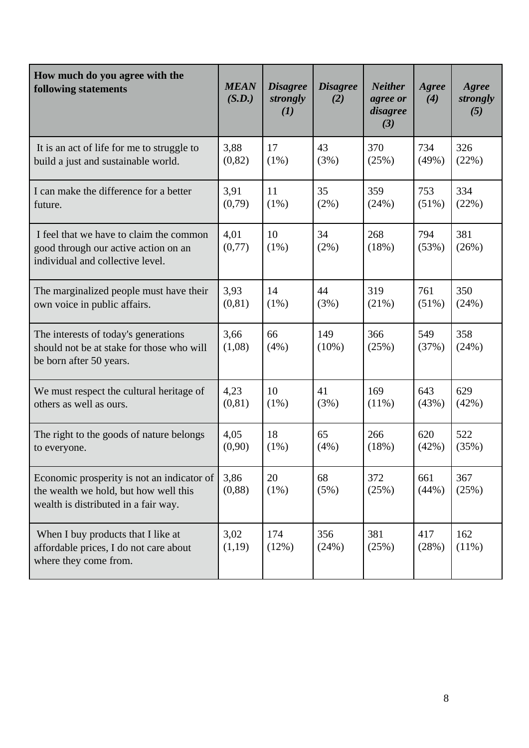| How much do you agree with the<br>following statements                                                                      | <b>MEAN</b><br>(S.D.) | <b>Disagree</b><br>strongly<br>(I) | <b>Disagree</b><br>(2) | <b>Neither</b><br>agree or<br>disagree<br>(3) | Agree<br>(4) | Agree<br>strongly<br>(5) |
|-----------------------------------------------------------------------------------------------------------------------------|-----------------------|------------------------------------|------------------------|-----------------------------------------------|--------------|--------------------------|
| It is an act of life for me to struggle to                                                                                  | 3,88                  | 17                                 | 43                     | 370                                           | 734          | 326                      |
| build a just and sustainable world.                                                                                         | (0, 82)               | $(1\%)$                            | (3%)                   | (25%)                                         | (49%)        | (22%)                    |
| I can make the difference for a better                                                                                      | 3,91                  | 11                                 | 35                     | 359                                           | 753          | 334                      |
| future.                                                                                                                     | (0,79)                | $(1\%)$                            | (2%)                   | (24%)                                         | $(51\%)$     | (22%)                    |
| I feel that we have to claim the common<br>good through our active action on an<br>individual and collective level.         | 4,01<br>(0,77)        | 10<br>$(1\%)$                      | 34<br>(2%)             | 268<br>(18%)                                  | 794<br>(53%) | 381<br>(26%)             |
| The marginalized people must have their                                                                                     | 3,93                  | 14                                 | 44                     | 319                                           | 761          | 350                      |
| own voice in public affairs.                                                                                                | (0, 81)               | $(1\%)$                            | (3%)                   | (21%)                                         | $(51\%)$     | (24%)                    |
| The interests of today's generations<br>should not be at stake for those who will<br>be born after 50 years.                | 3,66<br>(1,08)        | 66<br>(4%)                         | 149<br>$(10\%)$        | 366<br>(25%)                                  | 549<br>(37%) | 358<br>(24%)             |
| We must respect the cultural heritage of                                                                                    | 4,23                  | 10                                 | 41                     | 169                                           | 643          | 629                      |
| others as well as ours.                                                                                                     | (0, 81)               | $(1\%)$                            | (3%)                   | $(11\%)$                                      | (43%)        | (42%)                    |
| The right to the goods of nature belongs                                                                                    | 4,05                  | 18                                 | 65                     | 266                                           | 620          | 522                      |
| to everyone.                                                                                                                | (0,90)                | $(1\%)$                            | (4%)                   | (18%)                                         | (42%)        | (35%)                    |
| Economic prosperity is not an indicator of<br>the wealth we hold, but how well this<br>wealth is distributed in a fair way. | 3,86<br>(0, 88)       | 20<br>$(1\%)$                      | 68<br>(5%)             | 372<br>(25%)                                  | 661<br>(44%) | 367<br>(25%)             |
| When I buy products that I like at<br>affordable prices, I do not care about<br>where they come from.                       | 3,02<br>(1,19)        | 174<br>(12%)                       | 356<br>(24%)           | 381<br>(25%)                                  | 417<br>(28%) | 162<br>(11%)             |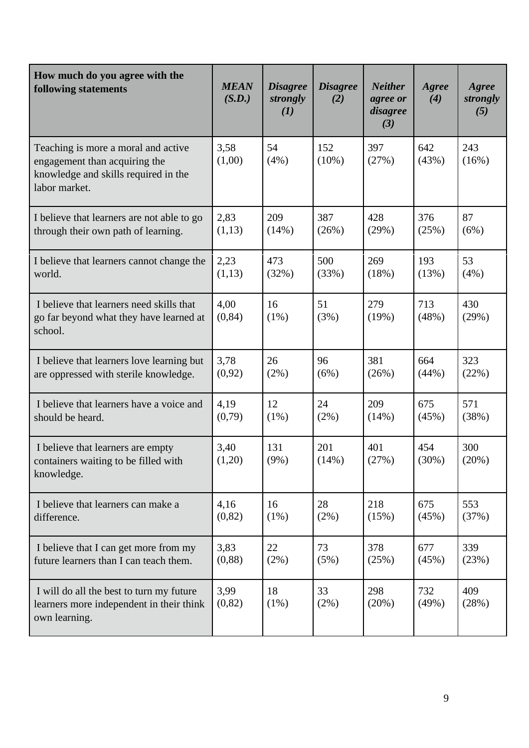| How much do you agree with the<br>following statements                                                                        | <b>MEAN</b><br>(S.D.) | <b>Disagree</b><br>strongly<br>$\mathcal{L}(I)$ | <b>Disagree</b><br>(2) | <b>Neither</b><br>agree or<br>disagree<br>(3) | Agree<br>(4) | Agree<br>strongly<br>(5) |
|-------------------------------------------------------------------------------------------------------------------------------|-----------------------|-------------------------------------------------|------------------------|-----------------------------------------------|--------------|--------------------------|
| Teaching is more a moral and active<br>engagement than acquiring the<br>knowledge and skills required in the<br>labor market. | 3,58<br>(1,00)        | 54<br>(4%)                                      | 152<br>$(10\%)$        | 397<br>(27%)                                  | 642<br>(43%) | 243<br>(16%)             |
| I believe that learners are not able to go                                                                                    | 2,83                  | 209                                             | 387                    | 428                                           | 376          | 87                       |
| through their own path of learning.                                                                                           | (1,13)                | (14%)                                           | (26%)                  | (29%)                                         | (25%)        | (6%)                     |
| I believe that learners cannot change the                                                                                     | 2,23                  | 473                                             | 500                    | 269                                           | 193          | 53                       |
| world.                                                                                                                        | (1,13)                | (32%)                                           | (33%)                  | (18%)                                         | (13%)        | (4%)                     |
| I believe that learners need skills that<br>go far beyond what they have learned at<br>school.                                | 4,00<br>(0, 84)       | 16<br>$(1\%)$                                   | 51<br>(3%)             | 279<br>(19%)                                  | 713<br>(48%) | 430<br>(29%)             |
| I believe that learners love learning but                                                                                     | 3,78                  | 26                                              | 96                     | 381                                           | 664          | 323                      |
| are oppressed with sterile knowledge.                                                                                         | (0,92)                | (2%)                                            | (6%)                   | (26%)                                         | (44%)        | (22%)                    |
| I believe that learners have a voice and                                                                                      | 4,19                  | 12                                              | 24                     | 209                                           | 675          | 571                      |
| should be heard.                                                                                                              | (0,79)                | $(1\%)$                                         | (2%)                   | (14%)                                         | (45%)        | (38%)                    |
| I believe that learners are empty<br>containers waiting to be filled with<br>knowledge.                                       | 3,40<br>(1,20)        | 131<br>$(9\%)$                                  | 201<br>(14%)           | 401<br>(27%)                                  | 454<br>(30%) | 300<br>(20%)             |
| I believe that learners can make a                                                                                            | 4,16                  | 16                                              | 28                     | 218                                           | 675          | 553                      |
| difference.                                                                                                                   | (0, 82)               | $(1\%)$                                         | (2%)                   | (15%)                                         | (45%)        | (37%)                    |
| I believe that I can get more from my                                                                                         | 3,83                  | 22                                              | 73                     | 378                                           | 677          | 339                      |
| future learners than I can teach them.                                                                                        | (0, 88)               | (2%)                                            | (5%)                   | (25%)                                         | (45%)        | (23%)                    |
| I will do all the best to turn my future<br>learners more independent in their think<br>own learning.                         | 3,99<br>(0, 82)       | 18<br>(1%)                                      | 33<br>(2%)             | 298<br>(20%)                                  | 732<br>(49%) | 409<br>(28%)             |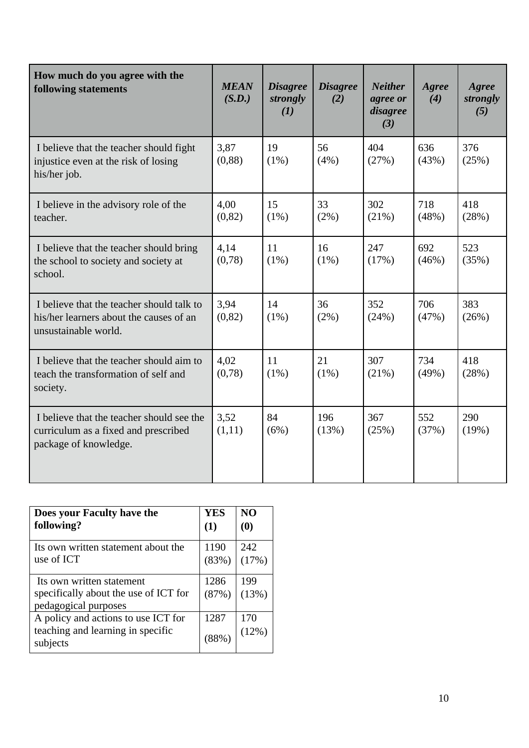| How much do you agree with the<br>following statements                                                       | <b>MEAN</b><br>(S.D.) | <b>Disagree</b><br>strongly<br>(I) | <b>Disagree</b><br>(2) | <b>Neither</b><br>agree or<br>disagree<br>(3) | Agree<br>(4) | Agree<br>strongly<br>(5) |
|--------------------------------------------------------------------------------------------------------------|-----------------------|------------------------------------|------------------------|-----------------------------------------------|--------------|--------------------------|
| I believe that the teacher should fight<br>injustice even at the risk of losing<br>his/her job.              | 3,87<br>(0, 88)       | 19<br>$(1\%)$                      | 56<br>$(4\%)$          | 404<br>(27%)                                  | 636<br>(43%) | 376<br>(25%)             |
| I believe in the advisory role of the<br>teacher.                                                            | 4,00<br>(0, 82)       | 15<br>$(1\%)$                      | 33<br>$(2\%)$          | 302<br>(21%)                                  | 718<br>(48%) | 418<br>(28%)             |
| I believe that the teacher should bring<br>the school to society and society at<br>school.                   | 4,14<br>(0,78)        | 11<br>$(1\%)$                      | 16<br>$(1\%)$          | 247<br>(17%)                                  | 692<br>(46%) | 523<br>(35%)             |
| I believe that the teacher should talk to<br>his/her learners about the causes of an<br>unsustainable world. | 3,94<br>(0, 82)       | 14<br>$(1\%)$                      | 36<br>(2%)             | 352<br>(24%)                                  | 706<br>(47%) | 383<br>(26%)             |
| I believe that the teacher should aim to<br>teach the transformation of self and<br>society.                 | 4,02<br>(0,78)        | 11<br>$(1\%)$                      | 21<br>$(1\%)$          | 307<br>(21%)                                  | 734<br>(49%) | 418<br>(28%)             |
| I believe that the teacher should see the<br>curriculum as a fixed and prescribed<br>package of knowledge.   | 3,52<br>(1,11)        | 84<br>(6%)                         | 196<br>(13%)           | 367<br>(25%)                                  | 552<br>(37%) | 290<br>(19%)             |

| Does your Faculty have the                                                                 | <b>YES</b>    | N <sub>O</sub>                |
|--------------------------------------------------------------------------------------------|---------------|-------------------------------|
| following?                                                                                 | (1)           | $\boldsymbol{\left(0\right)}$ |
| Its own written statement about the                                                        | 1190          | 242                           |
| use of ICT                                                                                 | (83%)         | (17%)                         |
| Its own written statement<br>specifically about the use of ICT for<br>pedagogical purposes | 1286<br>(87%) | 199<br>(13%)                  |
| A policy and actions to use ICT for<br>teaching and learning in specific<br>subjects       | 1287<br>(88%) | 170<br>(12%)                  |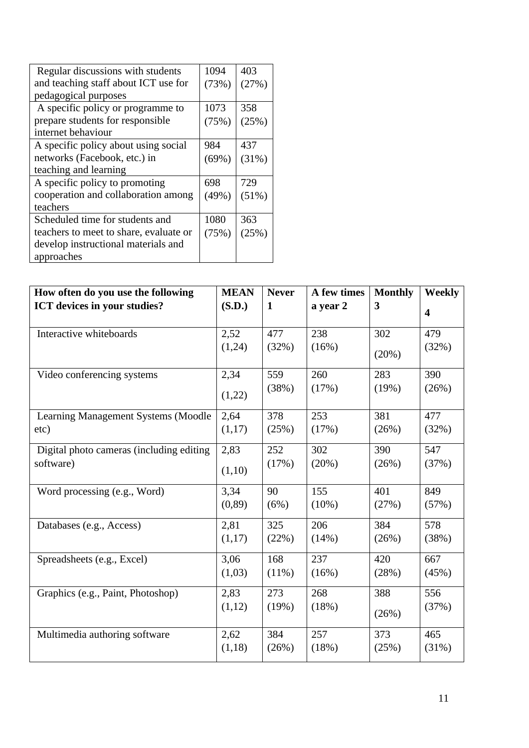| Regular discussions with students      | 1094     | 403   |
|----------------------------------------|----------|-------|
| and teaching staff about ICT use for   | (73%)    | (27%) |
| pedagogical purposes                   |          |       |
| A specific policy or programme to      | 1073     | 358   |
| prepare students for responsible       | (75%)    | (25%) |
| internet behaviour                     |          |       |
| A specific policy about using social   | 984      | 437   |
| networks (Facebook, etc.) in           | $(69\%)$ | (31%) |
| teaching and learning                  |          |       |
| A specific policy to promoting         | 698      | 729   |
| cooperation and collaboration among    | (49%)    | (51%) |
| teachers                               |          |       |
| Scheduled time for students and        | 1080     | 363   |
| teachers to meet to share, evaluate or | (75%)    | (25%) |
| develop instructional materials and    |          |       |
| approaches                             |          |       |

| How often do you use the following       | <b>MEAN</b> | <b>Never</b> | A few times | <b>Monthly</b> | Weekly                  |
|------------------------------------------|-------------|--------------|-------------|----------------|-------------------------|
| ICT devices in your studies?             | (S.D.)      | $\mathbf{1}$ | a year 2    | 3              | $\overline{\mathbf{4}}$ |
| Interactive whiteboards                  | 2,52        | 477          | 238         | 302            | 479                     |
|                                          | (1,24)      | (32%)        | (16%)       | (20%)          | (32%)                   |
| Video conferencing systems               | 2,34        | 559          | 260         | 283            | 390                     |
|                                          | (1,22)      | (38%)        | (17%)       | (19%)          | (26%)                   |
| Learning Management Systems (Moodle      | 2,64        | 378          | 253         | 381            | 477                     |
| etc)                                     | (1,17)      | (25%)        | (17%)       | (26%)          | (32%)                   |
| Digital photo cameras (including editing | 2,83        | 252          | 302         | 390            | 547                     |
| software)                                | (1,10)      | (17%)        | (20%)       | (26%)          | (37%)                   |
| Word processing (e.g., Word)             | 3,34        | 90           | 155         | 401            | 849                     |
|                                          | (0, 89)     | (6%)         | $(10\%)$    | (27%)          | (57%)                   |
| Databases (e.g., Access)                 | 2,81        | 325          | 206         | 384            | 578                     |
|                                          | (1,17)      | (22%)        | (14%)       | (26%)          | (38%)                   |
| Spreadsheets (e.g., Excel)               | 3,06        | 168          | 237         | 420            | 667                     |
|                                          | (1,03)      | $(11\%)$     | (16%)       | (28%)          | (45%)                   |
| Graphics (e.g., Paint, Photoshop)        | 2,83        | 273          | 268         | 388            | 556                     |
|                                          | (1,12)      | (19%)        | (18%)       | (26%)          | (37%)                   |
| Multimedia authoring software            | 2,62        | 384          | 257         | 373            | 465                     |
|                                          | (1,18)      | (26%)        | (18%)       | (25%)          | (31%)                   |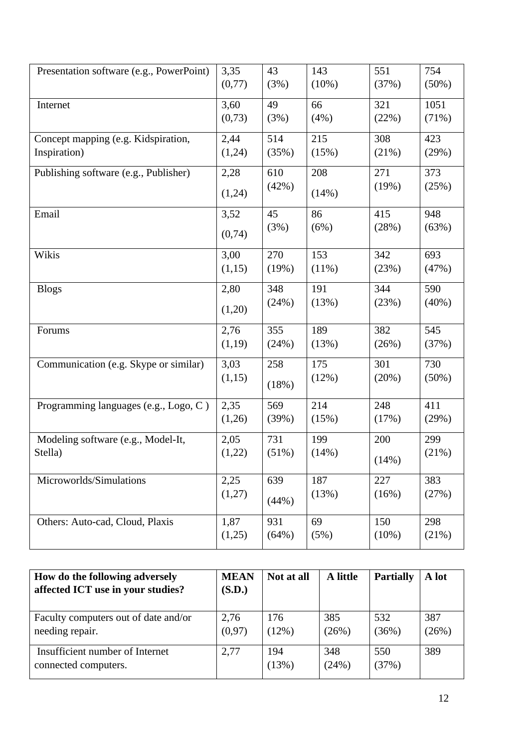| Presentation software (e.g., PowerPoint) | 3,35   | 43    | 143      | 551   | 754      |
|------------------------------------------|--------|-------|----------|-------|----------|
|                                          | (0,77) | (3%)  | $(10\%)$ | (37%) | $(50\%)$ |
| Internet                                 | 3,60   | 49    | 66       | 321   | 1051     |
|                                          | (0,73) | (3%)  | (4%)     | (22%) | $(71\%)$ |
| Concept mapping (e.g. Kidspiration,      | 2,44   | 514   | 215      | 308   | 423      |
| Inspiration)                             | (1,24) | (35%) | (15%)    | (21%) | (29%)    |
| Publishing software (e.g., Publisher)    | 2,28   | 610   | 208      | 271   | 373      |
|                                          | (1,24) | (42%) | (14%)    | (19%) | (25%)    |
| Email                                    | 3,52   | 45    | 86       | 415   | 948      |
|                                          | (0,74) | (3%)  | (6%)     | (28%) | (63%)    |
| Wikis                                    | 3,00   | 270   | 153      | 342   | 693      |
|                                          | (1,15) | (19%) | (11%)    | (23%) | (47%)    |
| <b>Blogs</b>                             | 2,80   | 348   | 191      | 344   | 590      |
|                                          | (1,20) | (24%) | (13%)    | (23%) | $(40\%)$ |
| Forums                                   | 2,76   | 355   | 189      | 382   | 545      |
|                                          | (1,19) | (24%) | (13%)    | (26%) | (37%)    |
| Communication (e.g. Skype or similar)    | 3,03   | 258   | 175      | 301   | 730      |
|                                          | (1,15) | (18%) | (12%)    | (20%) | $(50\%)$ |
| Programming languages (e.g., Logo, C)    | 2,35   | 569   | 214      | 248   | 411      |
|                                          | (1,26) | (39%) | (15%)    | (17%) | (29%)    |
| Modeling software (e.g., Model-It,       | 2,05   | 731   | 199      | 200   | 299      |
| Stella)                                  | (1,22) | (51%) | (14%)    | (14%) | (21%)    |
| Microworlds/Simulations                  | 2,25   | 639   | 187      | 227   | 383      |
|                                          | (1,27) | (44%) | (13%)    | (16%) | (27%)    |
| Others: Auto-cad, Cloud, Plaxis          | 1,87   | 931   | 69       | 150   | 298      |
|                                          | (1,25) | (64%) | (5%)     | (10%) | (21%)    |
|                                          |        |       |          |       |          |

| How do the following adversely<br>affected ICT use in your studies? | <b>MEAN</b><br>(S.D.) | Not at all   | A little     | <b>Partially</b> | A lot        |
|---------------------------------------------------------------------|-----------------------|--------------|--------------|------------------|--------------|
| Faculty computers out of date and/or<br>needing repair.             | 2,76<br>(0,97)        | 176<br>(12%) | 385<br>(26%) | 532<br>(36%)     | 387<br>(26%) |
| Insufficient number of Internet<br>connected computers.             | 2,77                  | 194<br>(13%) | 348<br>(24%) | 550<br>(37%)     | 389          |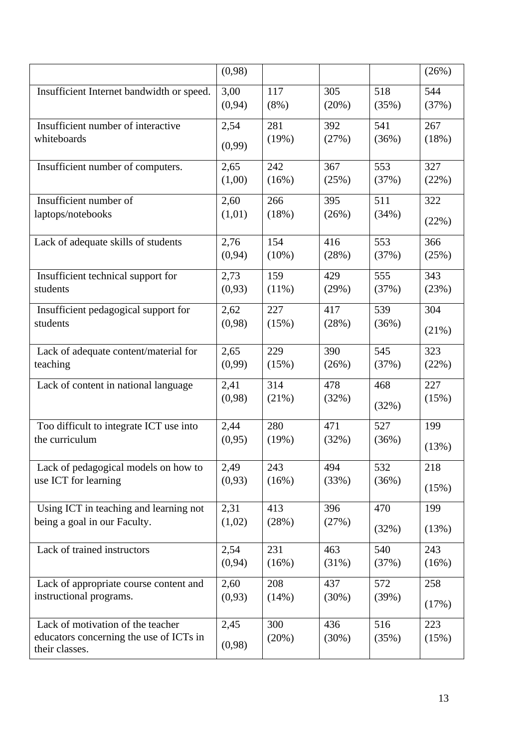|                                                                                                | (0,98)         |              |              |              | (26%)        |
|------------------------------------------------------------------------------------------------|----------------|--------------|--------------|--------------|--------------|
| Insufficient Internet bandwidth or speed.                                                      | 3,00           | 117          | 305          | 518          | 544          |
|                                                                                                | (0, 94)        | $(8\%)$      | (20%)        | (35%)        | (37%)        |
| Insufficient number of interactive                                                             | 2,54           | 281          | 392          | 541          | 267          |
| whiteboards                                                                                    | (0,99)         | (19%)        | (27%)        | (36%)        | (18%)        |
| Insufficient number of computers.                                                              | 2,65           | 242          | 367          | 553          | 327          |
|                                                                                                | (1,00)         | (16%)        | (25%)        | (37%)        | (22%)        |
| Insufficient number of                                                                         | 2,60           | 266          | 395          | 511          | 322          |
| laptops/notebooks                                                                              | (1,01)         | (18%)        | (26%)        | (34%)        | (22%)        |
| Lack of adequate skills of students                                                            | 2,76           | 154          | 416          | 553          | 366          |
|                                                                                                | (0, 94)        | $(10\%)$     | (28%)        | (37%)        | (25%)        |
| Insufficient technical support for                                                             | 2,73           | 159          | 429          | 555          | 343          |
| students                                                                                       | (0,93)         | $(11\%)$     | (29%)        | (37%)        | (23%)        |
| Insufficient pedagogical support for                                                           | 2,62           | 227          | 417          | 539          | 304          |
| students                                                                                       | (0,98)         | (15%)        | (28%)        | (36%)        | (21%)        |
| Lack of adequate content/material for                                                          | 2,65           | 229          | 390          | 545          | 323          |
| teaching                                                                                       | (0,99)         | (15%)        | (26%)        | (37%)        | (22%)        |
| Lack of content in national language                                                           | 2,41           | 314          | 478          | 468          | 227          |
|                                                                                                | (0,98)         | (21%)        | (32%)        | (32%)        | (15%)        |
| Too difficult to integrate ICT use into                                                        | 2,44           | 280          | 471          | 527          | 199          |
| the curriculum                                                                                 | (0,95)         | (19%)        | (32%)        | (36%)        | (13%)        |
| Lack of pedagogical models on how to                                                           | 2,49           | 243          | 494          | 532          | 218          |
| use ICT for learning                                                                           | (0,93)         | (16%)        | (33%)        | (36%)        | (15%)        |
| Using ICT in teaching and learning not                                                         | 2,31           | 413          | 396          | 470          | 199          |
| being a goal in our Faculty.                                                                   | (1,02)         | (28%)        | (27%)        | (32%)        | (13%)        |
| Lack of trained instructors                                                                    | 2,54           | 231          | 463          | 540          | 243          |
|                                                                                                | (0, 94)        | (16%)        | (31%)        | (37%)        | (16%)        |
| Lack of appropriate course content and                                                         | 2,60           | 208          | 437          | 572          | 258          |
| instructional programs.                                                                        | (0,93)         | (14%)        | (30%)        | (39%)        | (17%)        |
| Lack of motivation of the teacher<br>educators concerning the use of ICTs in<br>their classes. | 2,45<br>(0,98) | 300<br>(20%) | 436<br>(30%) | 516<br>(35%) | 223<br>(15%) |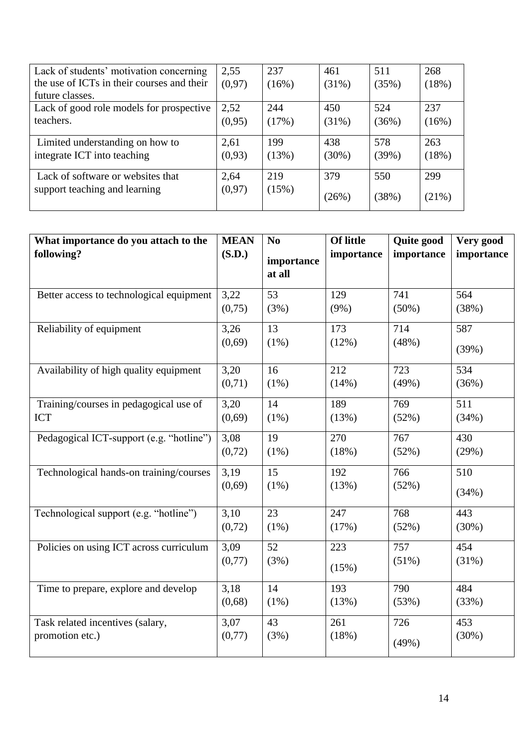| Lack of students' motivation concerning    | 2,55    | 237   | 461   | 511   | 268   |
|--------------------------------------------|---------|-------|-------|-------|-------|
| the use of ICTs in their courses and their | (0, 97) | (16%) | (31%) | (35%) | (18%) |
| future classes.                            |         |       |       |       |       |
| Lack of good role models for prospective   | 2,52    | 244   | 450   | 524   | 237   |
| teachers.                                  | (0,95)  | (17%) | (31%) | (36%) | (16%) |
|                                            |         |       |       |       |       |
| Limited understanding on how to            | 2,61    | 199   | 438   | 578   | 263   |
| integrate ICT into teaching                | (0,93)  | (13%) | (30%) | (39%) | (18%) |
|                                            |         |       |       |       |       |
| Lack of software or websites that          | 2,64    | 219   | 379   | 550   | 299   |
| support teaching and learning              | (0,97)  | (15%) | (26%) | (38%) | (21%) |
|                                            |         |       |       |       |       |

| What importance do you attach to the     | <b>MEAN</b> | N <sub>0</sub> | <b>Of little</b> | Quite good | Very good  |
|------------------------------------------|-------------|----------------|------------------|------------|------------|
| following?                               | (S.D.)      | importance     | importance       | importance | importance |
|                                          |             | at all         |                  |            |            |
| Better access to technological equipment | 3,22        | 53             | 129              | 741        | 564        |
|                                          | (0,75)      | (3%)           | $(9\%)$          | $(50\%)$   | (38%)      |
| Reliability of equipment                 | 3,26        | 13             | 173              | 714        | 587        |
|                                          | (0,69)      | $(1\%)$        | (12%)            | (48%)      | (39%)      |
| Availability of high quality equipment   | 3,20        | 16             | 212              | 723        | 534        |
|                                          | (0,71)      | $(1\%)$        | (14%)            | (49%)      | (36%)      |
| Training/courses in pedagogical use of   | 3,20        | 14             | 189              | 769        | 511        |
| <b>ICT</b>                               | (0,69)      | $(1\%)$        | (13%)            | (52%)      | (34%)      |
| Pedagogical ICT-support (e.g. "hotline") | 3,08        | 19             | 270              | 767        | 430        |
|                                          | (0,72)      | $(1\%)$        | (18%)            | (52%)      | (29%)      |
| Technological hands-on training/courses  | 3,19        | 15             | 192              | 766        | 510        |
|                                          | (0,69)      | $(1\%)$        | (13%)            | (52%)      | (34%)      |
| Technological support (e.g. "hotline")   | 3,10        | 23             | 247              | 768        | 443        |
|                                          | (0,72)      | $(1\%)$        | (17%)            | (52%)      | (30%)      |
| Policies on using ICT across curriculum  | 3,09        | 52             | 223              | 757        | 454        |
|                                          | (0,77)      | (3%)           | (15%)            | (51%)      | (31%)      |
| Time to prepare, explore and develop     | 3,18        | 14             | 193              | 790        | 484        |
|                                          | (0,68)      | $(1\%)$        | (13%)            | (53%)      | (33%)      |
| Task related incentives (salary,         | 3,07        | 43             | 261              | 726        | 453        |
| promotion etc.)                          | (0,77)      | (3%)           | (18%)            | (49%)      | (30%)      |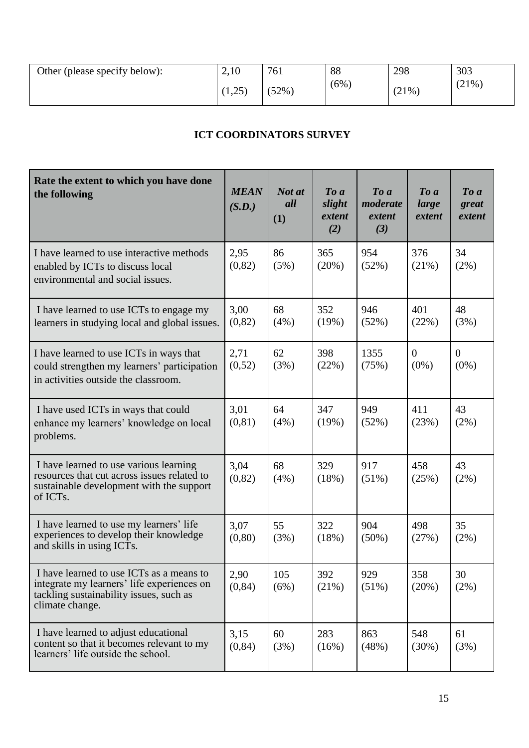| Other (please specify below): | 2,10          | 761   | 88      | 298   | 303      |
|-------------------------------|---------------|-------|---------|-------|----------|
|                               | ີດ⊂`<br>1, 2J | (52%) | $(6\%)$ | (21%) | $(21\%)$ |

# **ICT COORDINATORS SURVEY**

| Rate the extent to which you have done<br>the following                                                                                                    | <b>MEAN</b><br>(S.D.) | Not at<br>all<br>(1) | $\boldsymbol{To}$ $\boldsymbol{a}$<br>slight<br>extent<br>(2) | $\boldsymbol{To}$ $\boldsymbol{a}$<br>moderate<br>extent<br>(3) | $\boldsymbol{To}$ $\boldsymbol{a}$<br>large<br>extent | To a<br>great<br>extent |
|------------------------------------------------------------------------------------------------------------------------------------------------------------|-----------------------|----------------------|---------------------------------------------------------------|-----------------------------------------------------------------|-------------------------------------------------------|-------------------------|
| I have learned to use interactive methods<br>enabled by ICTs to discuss local<br>environmental and social issues.                                          | 2,95<br>(0, 82)       | 86<br>(5%)           | 365<br>(20%)                                                  | 954<br>(52%)                                                    | 376<br>(21%)                                          | 34<br>$(2\%)$           |
| I have learned to use ICTs to engage my<br>learners in studying local and global issues.                                                                   | 3,00<br>(0, 82)       | 68<br>$(4\%)$        | 352<br>(19%)                                                  | 946<br>(52%)                                                    | 401<br>(22%)                                          | 48<br>(3%)              |
| I have learned to use ICTs in ways that<br>could strengthen my learners' participation<br>in activities outside the classroom.                             | 2,71<br>(0,52)        | 62<br>(3%)           | 398<br>(22%)                                                  | 1355<br>(75%)                                                   | $\Omega$<br>$(0\%)$                                   | $\Omega$<br>$(0\%)$     |
| I have used ICTs in ways that could<br>enhance my learners' knowledge on local<br>problems.                                                                | 3,01<br>(0, 81)       | 64<br>(4%)           | 347<br>(19%)                                                  | 949<br>(52%)                                                    | 411<br>(23%)                                          | 43<br>$(2\%)$           |
| I have learned to use various learning<br>resources that cut across issues related to<br>sustainable development with the support<br>of ICT <sub>s</sub> . | 3,04<br>(0,82)        | 68<br>(4%)           | 329<br>(18%)                                                  | 917<br>$(51\%)$                                                 | 458<br>(25%)                                          | 43<br>(2%)              |
| I have learned to use my learners' life<br>experiences to develop their knowledge<br>and skills in using ICTs.                                             | 3,07<br>(0, 80)       | 55<br>(3%)           | 322<br>(18%)                                                  | 904<br>$(50\%)$                                                 | 498<br>(27%)                                          | 35<br>$(2\%)$           |
| I have learned to use ICTs as a means to<br>integrate my learners' life experiences on<br>tackling sustainability issues, such as<br>climate change.       | 2,90<br>(0, 84)       | 105<br>(6%)          | 392<br>(21%)                                                  | 929<br>(51%)                                                    | 358<br>(20%)                                          | 30<br>$(2\%)$           |
| I have learned to adjust educational<br>content so that it becomes relevant to my<br>learners' life outside the school.                                    | 3,15<br>(0, 84)       | 60<br>(3%)           | 283<br>(16%)                                                  | 863<br>(48%)                                                    | 548<br>(30%)                                          | 61<br>(3%)              |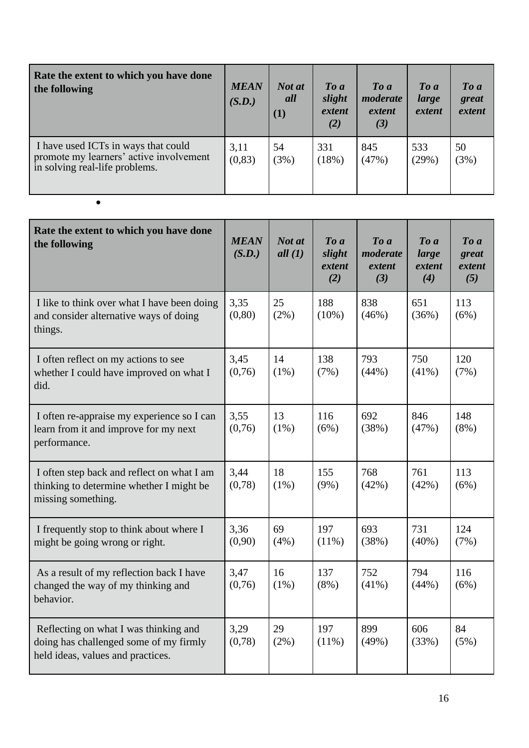| Rate the extent to which you have done<br>the following                                                          | <b>MEAN</b><br>(S.D.) | Not at<br>all<br>$\left(1\right)$ | $\boldsymbol{To}$ $\boldsymbol{a}$<br>slight<br>extent<br>(2) | $\boldsymbol{To}$ a<br>moderate<br>extent<br>(3) | $\boldsymbol{To}$ a<br>large<br>extent | $\boldsymbol{To}$ a<br>great<br>extent |
|------------------------------------------------------------------------------------------------------------------|-----------------------|-----------------------------------|---------------------------------------------------------------|--------------------------------------------------|----------------------------------------|----------------------------------------|
| I have used ICTs in ways that could<br>promote my learners' active involvement<br>in solving real-life problems. | 3,11<br>(0, 83)       | 54<br>(3%)                        | 331<br>(18%)                                                  | 845<br>(47%)                                     | 533<br>$(29\%)$                        | 50<br>(3%)                             |

•

| Rate the extent to which you have done<br>the following                                                              | <b>MEAN</b><br>(S.D.) | Not at<br>all(1) | $To\ a$<br>slight<br>extent<br>(2) | $To\ a$<br>moderate<br>extent<br>(3) | $To\ a$<br>large<br>extent<br>(4) | $To\ a$<br>great<br>extent<br>(5) |
|----------------------------------------------------------------------------------------------------------------------|-----------------------|------------------|------------------------------------|--------------------------------------|-----------------------------------|-----------------------------------|
| I like to think over what I have been doing<br>and consider alternative ways of doing<br>things.                     | 3,35<br>(0, 80)       | 25<br>$(2\%)$    | 188<br>$(10\%)$                    | 838<br>(46%)                         | 651<br>(36%)                      | 113<br>(6%)                       |
| I often reflect on my actions to see<br>whether I could have improved on what I<br>did.                              | 3,45<br>(0,76)        | 14<br>$(1\%)$    | 138<br>(7%)                        | 793<br>(44%)                         | 750<br>$(41\%)$                   | 120<br>(7%)                       |
| I often re-appraise my experience so I can<br>learn from it and improve for my next<br>performance.                  | 3,55<br>(0,76)        | 13<br>$(1\%)$    | 116<br>(6%)                        | 692<br>(38%)                         | 846<br>(47%)                      | 148<br>$(8\%)$                    |
| I often step back and reflect on what I am<br>thinking to determine whether I might be<br>missing something.         | 3,44<br>(0,78)        | 18<br>$(1\%)$    | 155<br>$(9\%)$                     | 768<br>(42%)                         | 761<br>(42%)                      | 113<br>(6%)                       |
| I frequently stop to think about where I<br>might be going wrong or right.                                           | 3,36<br>(0,90)        | 69<br>(4% )      | 197<br>(11%)                       | 693<br>(38%)                         | 731<br>$(40\%)$                   | 124<br>(7%)                       |
| As a result of my reflection back I have<br>changed the way of my thinking and<br>behavior.                          | 3,47<br>(0,76)        | 16<br>$(1\%)$    | 137<br>$(8\%)$                     | 752<br>$(41\%)$                      | 794<br>(44%)                      | 116<br>(6%)                       |
| Reflecting on what I was thinking and<br>doing has challenged some of my firmly<br>held ideas, values and practices. | 3,29<br>(0,78)        | 29<br>$(2\%)$    | 197<br>(11%)                       | 899<br>(49%)                         | 606<br>(33%)                      | 84<br>(5%)                        |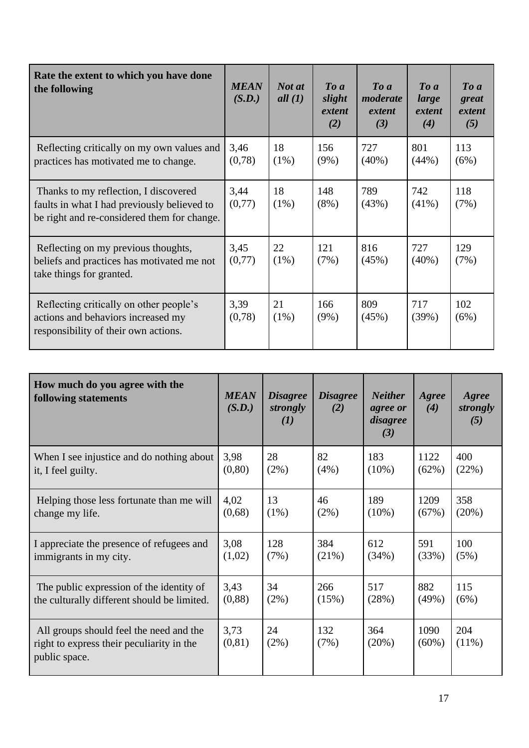| Rate the extent to which you have done<br>the following                                                                             | <b>MEAN</b><br>(S.D.) | Not at<br>all $(1)$ | $To\ a$<br>slight<br>extent<br>(2) | $\boldsymbol{To}$ $\boldsymbol{a}$<br>moderate<br>extent<br>(3) | $\boldsymbol{To}$ $\boldsymbol{a}$<br>large<br>extent<br>(4) | $\boldsymbol{To}$ $\boldsymbol{a}$<br>great<br>extent<br>(5) |
|-------------------------------------------------------------------------------------------------------------------------------------|-----------------------|---------------------|------------------------------------|-----------------------------------------------------------------|--------------------------------------------------------------|--------------------------------------------------------------|
| Reflecting critically on my own values and<br>practices has motivated me to change.                                                 | 3,46<br>(0,78)        | 18<br>$(1\%)$       | 156<br>$(9\%)$                     | 727<br>$(40\%)$                                                 | 801<br>(44%)                                                 | 113<br>(6%)                                                  |
| Thanks to my reflection, I discovered<br>faults in what I had previously believed to<br>be right and re-considered them for change. | 3,44<br>(0,77)        | 18<br>$(1\%)$       | 148<br>$(8\%)$                     | 789<br>(43%)                                                    | 742<br>$(41\%)$                                              | 118<br>(7%)                                                  |
| Reflecting on my previous thoughts,<br>beliefs and practices has motivated me not<br>take things for granted.                       | 3,45<br>(0,77)        | 22<br>$(1\%)$       | 121<br>(7%)                        | 816<br>(45%)                                                    | 727<br>$(40\%)$                                              | 129<br>(7%)                                                  |
| Reflecting critically on other people's<br>actions and behaviors increased my<br>responsibility of their own actions.               | 3,39<br>(0,78)        | 21<br>$(1\%)$       | 166<br>$(9\%)$                     | 809<br>(45%)                                                    | 717<br>(39%)                                                 | 102<br>(6%)                                                  |

| How much do you agree with the<br>following statements                                                | <b>MEAN</b><br>(S.D.) | <b>Disagree</b><br>strongly<br>(I) | <b>Disagree</b><br>(2) | <b>Neither</b><br>agree or<br>disagree<br>(3) | Agree<br>(4)     | Agree<br>strongly<br>(5) |
|-------------------------------------------------------------------------------------------------------|-----------------------|------------------------------------|------------------------|-----------------------------------------------|------------------|--------------------------|
| When I see injustice and do nothing about                                                             | 3,98                  | 28                                 | 82                     | 183                                           | 1122             | 400                      |
| it, I feel guilty.                                                                                    | (0, 80)               | (2%)                               | $(4\%)$                | $(10\%)$                                      | (62%)            | (22%)                    |
| Helping those less fortunate than me will                                                             | 4,02                  | 13                                 | 46                     | 189                                           | 1209             | 358                      |
| change my life.                                                                                       | (0,68)                | $(1\%)$                            | $(2\%)$                | $(10\%)$                                      | (67%)            | (20%)                    |
| I appreciate the presence of refugees and                                                             | 3,08                  | 128                                | 384                    | 612                                           | 591              | 100                      |
| immigrants in my city.                                                                                | (1,02)                | (7%)                               | (21%)                  | (34%)                                         | (33%)            | (5%)                     |
| The public expression of the identity of                                                              | 3,43                  | 34                                 | 266                    | 517                                           | 882              | 115                      |
| the culturally different should be limited.                                                           | (0, 88)               | $(2\%)$                            | (15%)                  | (28%)                                         | (49%)            | (6%)                     |
| All groups should feel the need and the<br>right to express their peculiarity in the<br>public space. | 3,73<br>(0, 81)       | 24<br>(2%)                         | 132<br>(7%)            | 364<br>(20%)                                  | 1090<br>$(60\%)$ | 204<br>$(11\%)$          |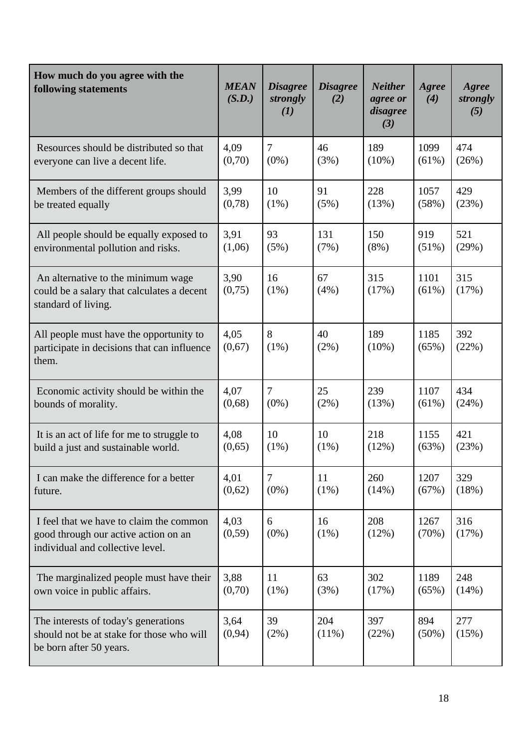| How much do you agree with the<br>following statements                                                              | <b>MEAN</b><br>(S.D.) | <b>Disagree</b><br>strongly<br>(I) | <b>Disagree</b><br>(2) | <b>Neither</b><br>agree or<br>disagree<br>(3) | Agree<br>(4)     | Agree<br>strongly<br>(5) |
|---------------------------------------------------------------------------------------------------------------------|-----------------------|------------------------------------|------------------------|-----------------------------------------------|------------------|--------------------------|
| Resources should be distributed so that                                                                             | 4,09                  | $\overline{7}$                     | 46                     | 189                                           | 1099             | 474                      |
| everyone can live a decent life.                                                                                    | (0,70)                | $(0\%)$                            | (3%)                   | $(10\%)$                                      | $(61\%)$         | (26%)                    |
| Members of the different groups should                                                                              | 3,99                  | 10                                 | 91                     | 228                                           | 1057             | 429                      |
| be treated equally                                                                                                  | (0,78)                | $(1\%)$                            | (5%)                   | (13%)                                         | (58%)            | (23%)                    |
| All people should be equally exposed to                                                                             | 3,91                  | 93                                 | 131                    | 150                                           | 919              | 521                      |
| environmental pollution and risks.                                                                                  | (1,06)                | (5%)                               | (7%)                   | $(8\%)$                                       | $(51\%)$         | (29%)                    |
| An alternative to the minimum wage<br>could be a salary that calculates a decent<br>standard of living.             | 3,90<br>(0,75)        | 16<br>$(1\%)$                      | 67<br>(4%)             | 315<br>(17%)                                  | 1101<br>$(61\%)$ | 315<br>(17%)             |
| All people must have the opportunity to<br>participate in decisions that can influence<br>them.                     | 4,05<br>(0,67)        | 8<br>$(1\%)$                       | 40<br>(2%)             | 189<br>$(10\%)$                               | 1185<br>(65%)    | 392<br>(22%)             |
| Economic activity should be within the                                                                              | 4,07                  | $\overline{7}$                     | 25                     | 239                                           | 1107             | 434                      |
| bounds of morality.                                                                                                 | (0,68)                | $(0\%)$                            | (2%)                   | (13%)                                         | $(61\%)$         | (24%)                    |
| It is an act of life for me to struggle to                                                                          | 4,08                  | 10                                 | 10                     | 218                                           | 1155             | 421                      |
| build a just and sustainable world.                                                                                 | (0,65)                | $(1\%)$                            | $(1\%)$                | (12%)                                         | (63%)            | (23%)                    |
| I can make the difference for a better                                                                              | 4,01                  | $\overline{7}$                     | 11                     | 260                                           | 1207             | 329                      |
| future.                                                                                                             | (0,62)                | $(0\%)$                            | $(1\%)$                | (14%)                                         | (67%)            | (18%)                    |
| I feel that we have to claim the common<br>good through our active action on an<br>individual and collective level. | 4,03<br>(0, 59)       | 6<br>$(0\%)$                       | 16<br>$(1\%)$          | 208<br>(12%)                                  | 1267<br>(70%)    | 316<br>(17%)             |
| The marginalized people must have their                                                                             | 3,88                  | 11                                 | 63                     | 302                                           | 1189             | 248                      |
| own voice in public affairs.                                                                                        | (0,70)                | $(1\%)$                            | (3%)                   | (17%)                                         | (65%)            | (14%)                    |
| The interests of today's generations<br>should not be at stake for those who will<br>be born after 50 years.        | 3,64<br>(0, 94)       | 39<br>$(2\%)$                      | 204<br>$(11\%)$        | 397<br>(22%)                                  | 894<br>$(50\%)$  | 277<br>(15%)             |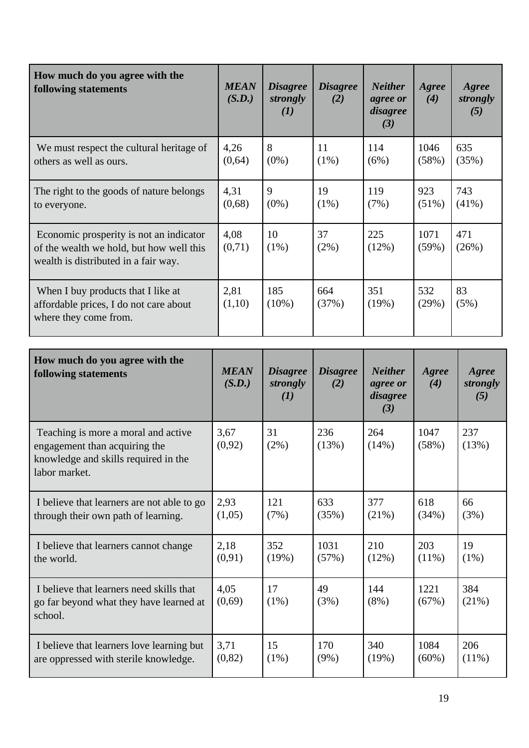| How much do you agree with the<br>following statements                                                                      | <b>MEAN</b><br>(S.D.) | <b>Disagree</b><br>strongly<br>(I) | <b>Disagree</b><br>(2) | <b>Neither</b><br>agree or<br>disagree<br>(3) | Agree<br>(4)    | Agree<br>strongly<br>(5) |
|-----------------------------------------------------------------------------------------------------------------------------|-----------------------|------------------------------------|------------------------|-----------------------------------------------|-----------------|--------------------------|
| We must respect the cultural heritage of<br>others as well as ours.                                                         | 4,26<br>(0,64)        | 8<br>$(0\%)$                       | 11<br>$(1\%)$          | 114<br>(6%)                                   | 1046<br>(58%)   | 635<br>(35%)             |
| The right to the goods of nature belongs<br>to everyone.                                                                    | 4,31<br>(0,68)        | 9<br>$(0\%)$                       | 19<br>$(1\%)$          | 119<br>(7%)                                   | 923<br>$(51\%)$ | 743<br>$(41\%)$          |
| Economic prosperity is not an indicator<br>of the wealth we hold, but how well this<br>wealth is distributed in a fair way. | 4,08<br>(0,71)        | 10<br>$(1\%)$                      | 37<br>$(2\%)$          | 225<br>(12%)                                  | 1071<br>(59%)   | 471<br>(26%)             |
| When I buy products that I like at<br>affordable prices, I do not care about<br>where they come from.                       | 2,81<br>(1,10)        | 185<br>$(10\%)$                    | 664<br>(37%)           | 351<br>(19%)                                  | 532<br>(29%)    | 83<br>(5%)               |

| How much do you agree with the<br>following statements                                                                        | <b>MEAN</b><br>(S.D.) | <b>Disagree</b><br>strongly<br>(I) | <b>Disagree</b><br>(2) | <b>Neither</b><br>agree or<br>disagree<br>(3) | Agree<br>(4)  | Agree<br>strongly<br>(5) |
|-------------------------------------------------------------------------------------------------------------------------------|-----------------------|------------------------------------|------------------------|-----------------------------------------------|---------------|--------------------------|
| Teaching is more a moral and active<br>engagement than acquiring the<br>knowledge and skills required in the<br>labor market. | 3,67<br>(0,92)        | 31<br>$(2\%)$                      | 236<br>(13%)           | 264<br>(14%)                                  | 1047<br>(58%) | 237<br>(13%)             |
| I believe that learners are not able to go                                                                                    | 2,93                  | 121                                | 633                    | 377                                           | 618           | 66                       |
| through their own path of learning.                                                                                           | (1,05)                | (7%)                               | (35%)                  | (21%)                                         | (34%)         | (3%)                     |
| I believe that learners cannot change                                                                                         | 2,18                  | 352                                | 1031                   | 210                                           | 203           | 19                       |
| the world.                                                                                                                    | (0,91)                | (19%)                              | (57%)                  | (12%)                                         | $(11\%)$      | $(1\%)$                  |
| I believe that learners need skills that<br>go far beyond what they have learned at<br>school.                                | 4,05<br>(0,69)        | 17<br>$(1\%)$                      | 49<br>(3%)             | 144<br>$(8\%)$                                | 1221<br>(67%) | 384<br>(21%)             |
| I believe that learners love learning but                                                                                     | 3,71                  | 15                                 | 170                    | 340                                           | 1084          | 206                      |
| are oppressed with sterile knowledge.                                                                                         | (0, 82)               | $(1\%)$                            | (9%)                   | (19%)                                         | $(60\%)$      | $(11\%)$                 |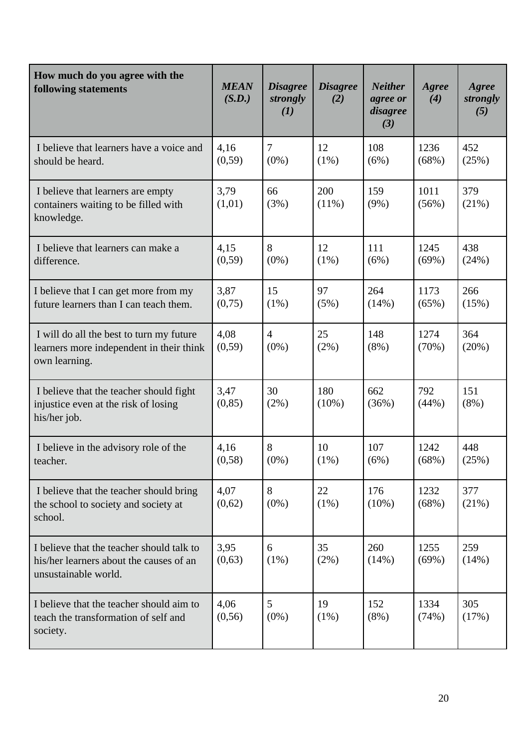| How much do you agree with the<br>following statements                                                       | <b>MEAN</b><br>(S.D.) | <b>Disagree</b><br>strongly<br>(I) | <b>Disagree</b><br>(2) | <b>Neither</b><br>agree or<br>disagree<br>(3) | Agree<br>(4)  | Agree<br>strongly<br>(5) |
|--------------------------------------------------------------------------------------------------------------|-----------------------|------------------------------------|------------------------|-----------------------------------------------|---------------|--------------------------|
| I believe that learners have a voice and<br>should be heard.                                                 | 4,16<br>(0, 59)       | $\overline{7}$<br>$(0\%)$          | 12<br>$(1\%)$          | 108<br>(6%)                                   | 1236<br>(68%) | 452<br>(25%)             |
| I believe that learners are empty<br>containers waiting to be filled with<br>knowledge.                      | 3,79<br>(1,01)        | 66<br>(3%)                         | 200<br>$(11\%)$        | 159<br>(9%)                                   | 1011<br>(56%) | 379<br>(21%)             |
| I believe that learners can make a<br>difference.                                                            | 4,15<br>(0, 59)       | 8<br>$(0\%)$                       | 12<br>$(1\%)$          | 111<br>(6%)                                   | 1245<br>(69%) | 438<br>(24%)             |
| I believe that I can get more from my<br>future learners than I can teach them.                              | 3,87<br>(0,75)        | 15<br>$(1\%)$                      | 97<br>(5%)             | 264<br>(14%)                                  | 1173<br>(65%) | 266<br>(15%)             |
| I will do all the best to turn my future<br>learners more independent in their think<br>own learning.        | 4,08<br>(0, 59)       | $\overline{4}$<br>$(0\%)$          | 25<br>$(2\%)$          | 148<br>$(8\%)$                                | 1274<br>(70%) | 364<br>(20%)             |
| I believe that the teacher should fight<br>injustice even at the risk of losing<br>his/her job.              | 3,47<br>(0, 85)       | 30<br>(2%)                         | 180<br>$(10\%)$        | 662<br>(36%)                                  | 792<br>(44%)  | 151<br>$(8\%)$           |
| I believe in the advisory role of the<br>teacher.                                                            | 4,16<br>(0, 58)       | 8<br>$(0\%)$                       | 10<br>(1%)             | 107<br>(6%)                                   | 1242<br>(68%) | 448<br>(25%)             |
| I believe that the teacher should bring<br>the school to society and society at<br>school.                   | 4,07<br>(0,62)        | 8<br>$(0\%)$                       | 22<br>$(1\%)$          | 176<br>$(10\%)$                               | 1232<br>(68%) | 377<br>(21%)             |
| I believe that the teacher should talk to<br>his/her learners about the causes of an<br>unsustainable world. | 3,95<br>(0,63)        | 6<br>$(1\%)$                       | 35<br>$(2\%)$          | 260<br>(14%)                                  | 1255<br>(69%) | 259<br>(14%)             |
| I believe that the teacher should aim to<br>teach the transformation of self and<br>society.                 | 4,06<br>(0, 56)       | 5 <sup>5</sup><br>$(0\%)$          | 19<br>$(1\%)$          | 152<br>$(8\%)$                                | 1334<br>(74%) | 305<br>(17%)             |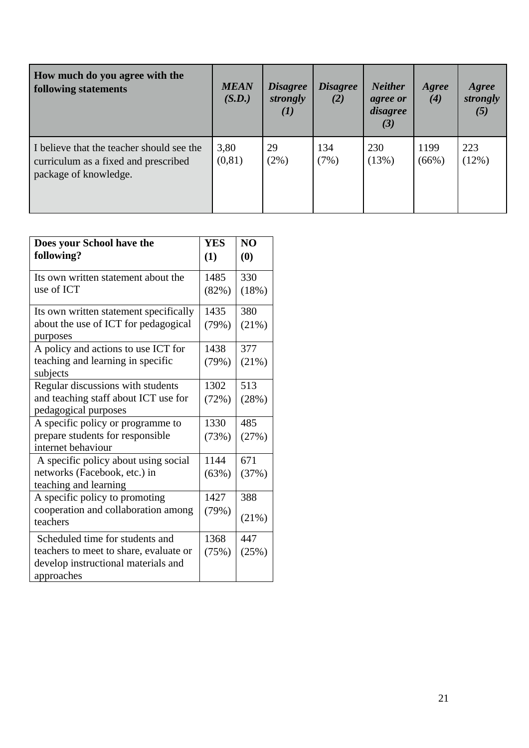| How much do you agree with the<br><b>following statements</b>                                              | <b>MEAN</b><br>(S.D.) | <i><b>Disagree</b></i><br>strongly<br>$\mathcal{L}(I)$ | <b>Disagree</b><br>(2) | <b>Neither</b><br>agree or<br>disagree<br>(3) | Agree<br>(4)  | Agree<br>strongly<br>(5) |
|------------------------------------------------------------------------------------------------------------|-----------------------|--------------------------------------------------------|------------------------|-----------------------------------------------|---------------|--------------------------|
| I believe that the teacher should see the<br>curriculum as a fixed and prescribed<br>package of knowledge. | 3,80<br>(0, 81)       | 29<br>$(2\%)$                                          | 134<br>(7%)            | 230<br>(13%)                                  | 1199<br>(66%) | 223<br>(12%)             |

| Does your School have the                                    | <b>YES</b> | NO    |
|--------------------------------------------------------------|------------|-------|
| following?                                                   | (1)        | (0)   |
| Its own written statement about the                          | 1485       | 330   |
| use of ICT                                                   | (82%)      | (18%) |
| Its own written statement specifically                       | 1435       | 380   |
| about the use of ICT for pedagogical<br>purposes             | (79%)      | (21%) |
| A policy and actions to use ICT for                          | 1438       | 377   |
| teaching and learning in specific<br>subjects                | (79%)      | (21%) |
| Regular discussions with students                            | 1302       | 513   |
| and teaching staff about ICT use for<br>pedagogical purposes | (72%)      | (28%) |
| A specific policy or programme to                            | 1330       | 485   |
| prepare students for responsible                             | (73%)      | (27%) |
| internet behaviour                                           |            |       |
| A specific policy about using social                         | 1144       | 671   |
| networks (Facebook, etc.) in<br>teaching and learning        | (63%)      | (37%) |
| A specific policy to promoting                               | 1427       | 388   |
| cooperation and collaboration among<br>teachers              | (79%)      | (21%) |
| Scheduled time for students and                              | 1368       | 447   |
| teachers to meet to share, evaluate or                       | (75%)      | (25%) |
| develop instructional materials and<br>approaches            |            |       |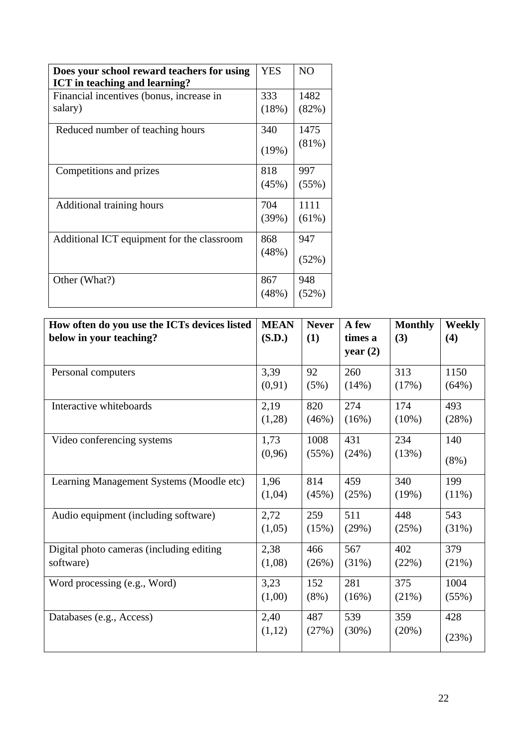| Does your school reward teachers for using<br><b>ICT</b> in teaching and learning? | <b>YES</b>   | N <sub>O</sub>   |
|------------------------------------------------------------------------------------|--------------|------------------|
| Financial incentives (bonus, increase in<br>salary)                                | 333<br>(18%) | 1482<br>(82%)    |
| Reduced number of teaching hours                                                   | 340<br>(19%) | 1475<br>(81%)    |
| Competitions and prizes                                                            | 818<br>(45%) | 997<br>(55%)     |
| Additional training hours                                                          | 704<br>(39%) | 1111<br>$(61\%)$ |
| Additional ICT equipment for the classroom                                         | 868<br>(48%) | 947<br>(52%)     |
| Other (What?)                                                                      | 867<br>(48%) | 948<br>(52%)     |

| How often do you use the ICTs devices listed | <b>MEAN</b> | <b>Never</b> | A few      | <b>Monthly</b> | <b>Weekly</b> |
|----------------------------------------------|-------------|--------------|------------|----------------|---------------|
| below in your teaching?                      | (S.D.)      | (1)          | times a    | (3)            | (4)           |
|                                              |             |              | year $(2)$ |                |               |
| Personal computers                           | 3,39        | 92           | 260        | 313            | 1150          |
|                                              | (0,91)      | (5%)         | (14%)      | (17%)          | (64%)         |
| Interactive whiteboards                      | 2,19        | 820          | 274        | 174            | 493           |
|                                              | (1,28)      | (46%)        | (16%)      | $(10\%)$       | (28%)         |
| Video conferencing systems                   | 1,73        | 1008         | 431        | 234            | 140           |
|                                              | (0,96)      | (55%)        | (24%)      | (13%)          | $(8\%)$       |
| Learning Management Systems (Moodle etc)     | 1,96        | 814          | 459        | 340            | 199           |
|                                              | (1,04)      | (45%)        | (25%)      | (19%)          | $(11\%)$      |
| Audio equipment (including software)         | 2,72        | 259          | 511        | 448            | 543           |
|                                              | (1,05)      | (15%)        | (29%)      | (25%)          | (31%)         |
| Digital photo cameras (including editing     | 2,38        | 466          | 567        | 402            | 379           |
| software)                                    | (1,08)      | (26%)        | (31%)      | (22%)          | (21%)         |
| Word processing (e.g., Word)                 | 3,23        | 152          | 281        | 375            | 1004          |
|                                              | (1,00)      | $(8\%)$      | (16%)      | (21%)          | (55%)         |
| Databases (e.g., Access)                     | 2,40        | 487          | 539        | 359            | 428           |
|                                              | (1,12)      | (27%)        | (30%)      | (20%)          | (23%)         |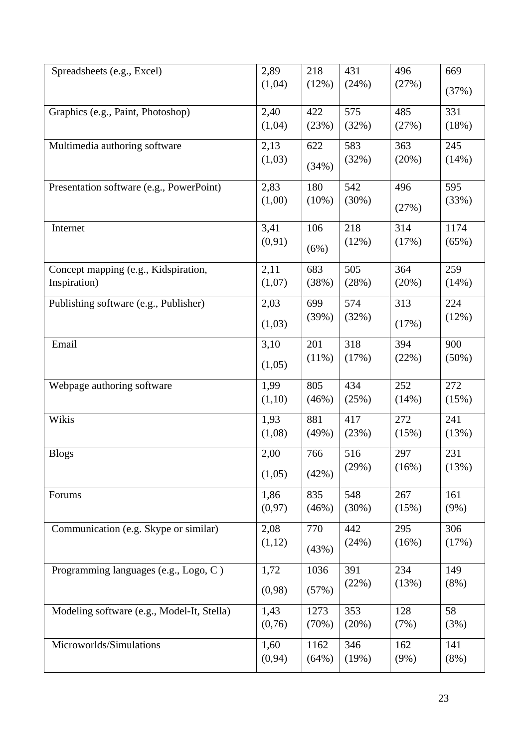| Spreadsheets (e.g., Excel)                 | 2,89    | 218   | 431   | 496     | 669      |
|--------------------------------------------|---------|-------|-------|---------|----------|
|                                            | (1,04)  | (12%) | (24%) | (27%)   | (37%)    |
|                                            |         |       |       |         |          |
| Graphics (e.g., Paint, Photoshop)          | 2,40    | 422   | 575   | 485     | 331      |
|                                            | (1,04)  | (23%) | (32%) | (27%)   | (18%)    |
| Multimedia authoring software              | 2,13    | 622   | 583   | 363     | 245      |
|                                            | (1,03)  |       | (32%) | (20%)   | (14%)    |
|                                            |         | (34%) |       |         |          |
| Presentation software (e.g., PowerPoint)   | 2,83    | 180   | 542   | 496     | 595      |
|                                            | (1,00)  | (10%) | (30%) | (27%)   | (33%)    |
|                                            |         |       |       |         |          |
| Internet                                   | 3,41    | 106   | 218   | 314     | 1174     |
|                                            | (0, 91) | (6%)  | (12%) | (17%)   | (65%)    |
|                                            |         |       |       |         |          |
| Concept mapping (e.g., Kidspiration,       | 2,11    | 683   | 505   | 364     | 259      |
| Inspiration)                               | (1,07)  | (38%) | (28%) | (20%)   | (14%)    |
| Publishing software (e.g., Publisher)      | 2,03    | 699   | 574   | 313     | 224      |
|                                            |         | (39%) | (32%) |         | (12%)    |
|                                            | (1,03)  |       |       | (17%)   |          |
| Email                                      | 3,10    | 201   | 318   | 394     | 900      |
|                                            | (1,05)  | (11%) | (17%) | (22%)   | $(50\%)$ |
|                                            |         |       |       |         |          |
| Webpage authoring software                 | 1,99    | 805   | 434   | 252     | 272      |
|                                            | (1,10)  | (46%) | (25%) | (14%)   | (15%)    |
| Wikis                                      | 1,93    | 881   | 417   | 272     | 241      |
|                                            | (1,08)  | (49%) | (23%) | (15%)   | (13%)    |
| <b>Blogs</b>                               | 2,00    | 766   | 516   | 297     | 231      |
|                                            |         |       | (29%) | (16%)   | (13%)    |
|                                            | (1,05)  | (42%) |       |         |          |
| Forums                                     | 1,86    | 835   | 548   | 267     | 161      |
|                                            | (0, 97) | (46%) | (30%) | (15%)   | $(9\%)$  |
| Communication (e.g. Skype or similar)      | 2,08    | 770   | 442   | 295     | 306      |
|                                            | (1,12)  |       | (24%) | (16%)   | (17%)    |
|                                            |         | (43%) |       |         |          |
| Programming languages (e.g., Logo, C)      | 1,72    | 1036  | 391   | 234     | 149      |
|                                            |         |       | (22%) | (13%)   | $(8\%)$  |
|                                            | (0,98)  | (57%) |       |         |          |
| Modeling software (e.g., Model-It, Stella) | 1,43    | 1273  | 353   | 128     | 58       |
|                                            | (0,76)  | (70%) | (20%) | (7%)    | (3%)     |
| Microworlds/Simulations                    | 1,60    | 1162  | 346   | 162     | 141      |
|                                            | (0, 94) | (64%) | (19%) | $(9\%)$ | $(8\%)$  |
|                                            |         |       |       |         |          |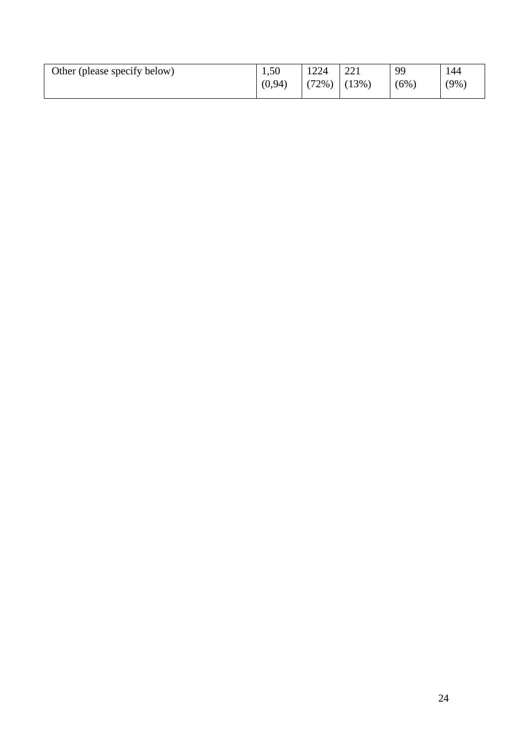| Other (please specify below) | 1,50    | 1224  | 221                   | 99  | 144 |
|------------------------------|---------|-------|-----------------------|-----|-----|
|                              | (0, 94) | (72%) | $(13\%)$<br>$\perp$ ( | (6% | (9% |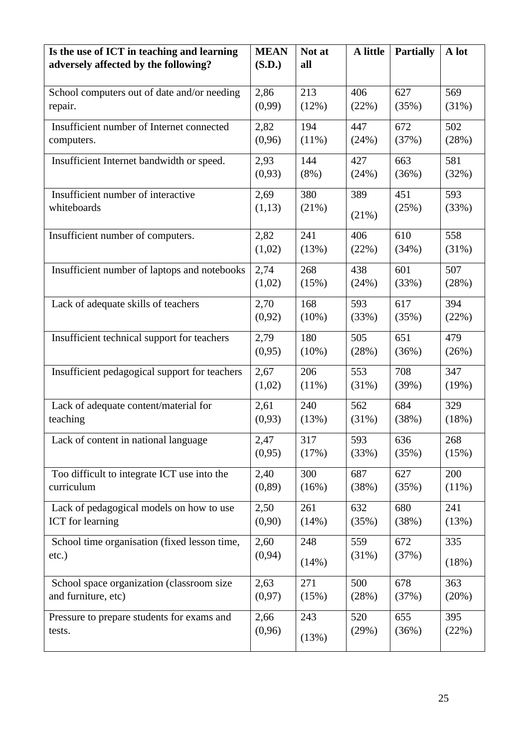| Is the use of ICT in teaching and learning    | <b>MEAN</b> | Not at   | A little | <b>Partially</b> | A lot    |
|-----------------------------------------------|-------------|----------|----------|------------------|----------|
| adversely affected by the following?          | (S.D.)      | all      |          |                  |          |
| School computers out of date and/or needing   | 2,86        | 213      | 406      | 627              | 569      |
| repair.                                       | (0,99)      | (12%)    | (22%)    | (35%)            | (31%)    |
| Insufficient number of Internet connected     | 2,82        | 194      | 447      | 672              | 502      |
| computers.                                    | (0, 96)     | $(11\%)$ | (24%)    | (37%)            | (28%)    |
| Insufficient Internet bandwidth or speed.     | 2,93        | 144      | 427      | 663              | 581      |
|                                               | (0,93)      | $(8\%)$  | (24%)    | (36%)            | (32%)    |
| Insufficient number of interactive            | 2,69        | 380      | 389      | 451              | 593      |
| whiteboards                                   | (1,13)      | (21%)    | (21%)    | (25%)            | (33%)    |
| Insufficient number of computers.             | 2,82        | 241      | 406      | 610              | 558      |
|                                               | (1,02)      | (13%)    | (22%)    | (34%)            | (31%)    |
| Insufficient number of laptops and notebooks  | 2,74        | 268      | 438      | 601              | 507      |
|                                               | (1,02)      | (15%)    | (24%)    | (33%)            | (28%)    |
| Lack of adequate skills of teachers           | 2,70        | 168      | 593      | 617              | 394      |
|                                               | (0,92)      | $(10\%)$ | (33%)    | (35%)            | (22%)    |
| Insufficient technical support for teachers   | 2,79        | 180      | 505      | 651              | 479      |
|                                               | (0,95)      | $(10\%)$ | (28%)    | (36%)            | (26%)    |
| Insufficient pedagogical support for teachers | 2,67        | 206      | 553      | 708              | 347      |
|                                               | (1,02)      | $(11\%)$ | (31%)    | (39%)            | (19%)    |
| Lack of adequate content/material for         | 2,61        | 240      | 562      | 684              | 329      |
| teaching                                      | (0,93)      | (13%)    | (31%)    | (38%)            | (18%)    |
| Lack of content in national language          | 2,47        | 317      | 593      | 636              | 268      |
|                                               | (0,95)      | (17%)    | (33%)    | (35%)            | (15%)    |
| Too difficult to integrate ICT use into the   | 2,40        | 300      | 687      | 627              | 200      |
| curriculum                                    | (0, 89)     | (16%)    | (38%)    | (35%)            | $(11\%)$ |
| Lack of pedagogical models on how to use      | 2,50        | 261      | 632      | 680              | 241      |
| <b>ICT</b> for learning                       | (0,90)      | (14%)    | (35%)    | (38%)            | (13%)    |
| School time organisation (fixed lesson time,  | 2,60        | 248      | 559      | 672              | 335      |
| $etc.$ )                                      | (0, 94)     | (14%)    | (31%)    | (37%)            | (18%)    |
| School space organization (classroom size     | 2,63        | 271      | 500      | 678              | 363      |
| and furniture, etc)                           | (0, 97)     | (15%)    | (28%)    | (37%)            | (20%)    |
| Pressure to prepare students for exams and    | 2,66        | 243      | 520      | 655              | 395      |
| tests.                                        | (0,96)      | (13%)    | (29%)    | (36%)            | (22%)    |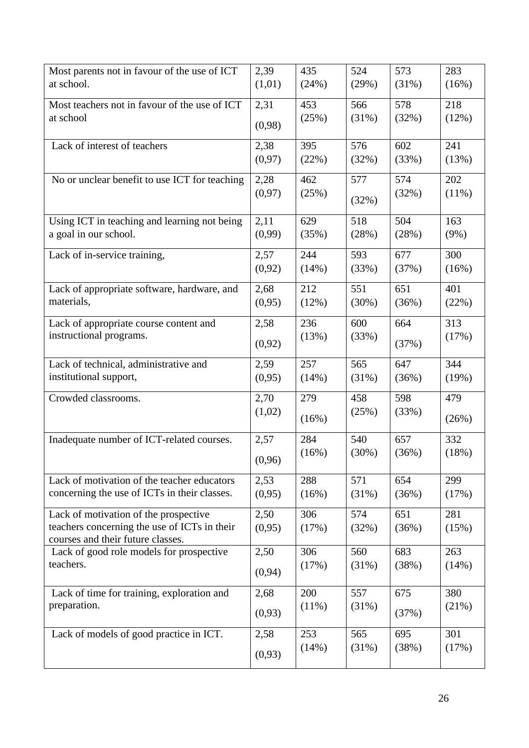| Most parents not in favour of the use of ICT                                      | 2,39    | 435      | 524   | 573   | 283      |
|-----------------------------------------------------------------------------------|---------|----------|-------|-------|----------|
| at school.                                                                        | (1,01)  | (24%)    | (29%) | (31%) | (16%)    |
| Most teachers not in favour of the use of ICT                                     | 2,31    | 453      | 566   | 578   | 218      |
| at school                                                                         | (0,98)  | (25%)    | (31%) | (32%) | (12%)    |
| Lack of interest of teachers                                                      | 2,38    | 395      | 576   | 602   | 241      |
|                                                                                   | (0, 97) | (22%)    | (32%) | (33%) | (13%)    |
| No or unclear benefit to use ICT for teaching                                     | 2,28    | 462      | 577   | 574   | 202      |
|                                                                                   | (0, 97) | (25%)    | (32%) | (32%) | $(11\%)$ |
| Using ICT in teaching and learning not being                                      | 2,11    | 629      | 518   | 504   | 163      |
| a goal in our school.                                                             | (0,99)  | (35%)    | (28%) | (28%) | $(9\%)$  |
| Lack of in-service training,                                                      | 2,57    | 244      | 593   | 677   | 300      |
|                                                                                   | (0,92)  | (14%)    | (33%) | (37%) | (16%)    |
| Lack of appropriate software, hardware, and                                       | 2,68    | 212      | 551   | 651   | 401      |
| materials,                                                                        | (0,95)  | (12%)    | (30%) | (36%) | (22%)    |
| Lack of appropriate course content and                                            | 2,58    | 236      | 600   | 664   | 313      |
| instructional programs.                                                           | (0,92)  | (13%)    | (33%) | (37%) | (17%)    |
| Lack of technical, administrative and                                             | 2,59    | 257      | 565   | 647   | 344      |
| institutional support,                                                            | (0,95)  | (14%)    | (31%) | (36%) | (19%)    |
| Crowded classrooms.                                                               | 2,70    | 279      | 458   | 598   | 479      |
|                                                                                   | (1,02)  | (16%)    | (25%) | (33%) | (26%)    |
| Inadequate number of ICT-related courses.                                         | 2,57    | 284      | 540   | 657   | 332      |
|                                                                                   | (0,96)  | (16%)    | (30%) | (36%) | (18%)    |
| Lack of motivation of the teacher educators                                       | 2,53    | 288      | 571   | 654   | 299      |
| concerning the use of ICTs in their classes.                                      | (0,95)  | (16%)    | (31%) | (36%) | (17%)    |
| Lack of motivation of the prospective                                             | 2,50    | 306      | 574   | 651   | 281      |
| teachers concerning the use of ICTs in their<br>courses and their future classes. | (0,95)  | (17%)    | (32%) | (36%) | (15%)    |
| Lack of good role models for prospective                                          | 2,50    | 306      | 560   | 683   | 263      |
| teachers.                                                                         | (0, 94) | (17%)    | (31%) | (38%) | (14%)    |
| Lack of time for training, exploration and                                        | 2,68    | 200      | 557   | 675   | 380      |
| preparation.                                                                      | (0,93)  | $(11\%)$ | (31%) | (37%) | (21%)    |
| Lack of models of good practice in ICT.                                           | 2,58    | 253      | 565   | 695   | 301      |
|                                                                                   | (0,93)  | (14%)    | (31%) | (38%) | (17%)    |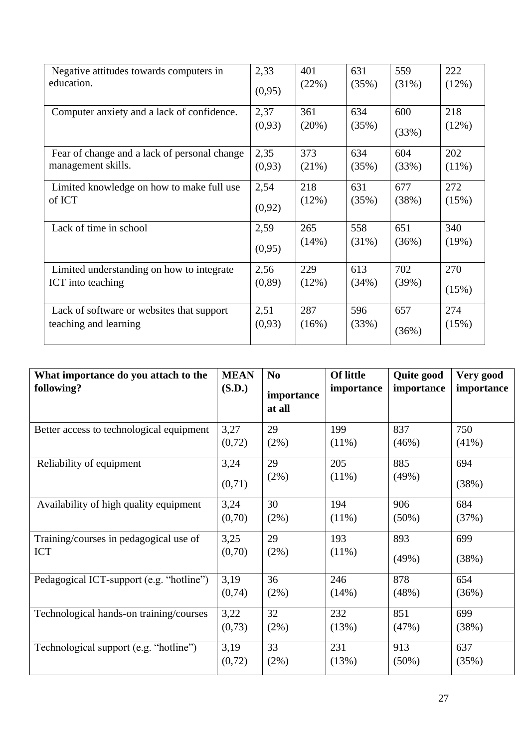| Negative attitudes towards computers in      | 2,33    | 401   | 631      | 559      | 222      |
|----------------------------------------------|---------|-------|----------|----------|----------|
| education.                                   | (0,95)  | (22%) | (35%)    | $(31\%)$ | (12%)    |
| Computer anxiety and a lack of confidence.   | 2,37    | 361   | 634      | 600      | 218      |
|                                              | (0,93)  | (20%) | (35%)    | (33%)    | (12%)    |
| Fear of change and a lack of personal change | 2,35    | 373   | 634      | 604      | 202      |
| management skills.                           | (0,93)  | (21%) | (35%)    | (33%)    | $(11\%)$ |
| Limited knowledge on how to make full use    | 2,54    | 218   | 631      | 677      | 272      |
| of ICT                                       | (0,92)  | (12%) | (35%)    | (38%)    | (15%)    |
| Lack of time in school                       | 2,59    | 265   | 558      | 651      | 340      |
|                                              | (0,95)  | (14%) | $(31\%)$ | (36%)    | (19%)    |
| Limited understanding on how to integrate    | 2,56    | 229   | 613      | 702      | 270      |
| ICT into teaching                            | (0, 89) | (12%) | (34%)    | (39%)    | (15%)    |
| Lack of software or websites that support    | 2,51    | 287   | 596      | 657      | 274      |
| teaching and learning                        | (0,93)  | (16%) | (33%)    | (36%)    | (15%)    |

| What importance do you attach to the<br>following? | <b>MEAN</b><br>(S.D.) | N <sub>0</sub><br>importance<br>at all | <b>Of little</b><br>importance | <b>Quite good</b><br>importance | Very good<br>importance |
|----------------------------------------------------|-----------------------|----------------------------------------|--------------------------------|---------------------------------|-------------------------|
| Better access to technological equipment           | 3,27                  | 29                                     | 199                            | 837                             | 750                     |
|                                                    | (0,72)                | (2%)                                   | $(11\%)$                       | (46%)                           | $(41\%)$                |
| Reliability of equipment                           | 3,24                  | 29                                     | 205                            | 885                             | 694                     |
|                                                    | (0,71)                | (2%)                                   | $(11\%)$                       | (49%)                           | (38%)                   |
| Availability of high quality equipment             | 3,24                  | 30                                     | 194                            | 906                             | 684                     |
|                                                    | (0,70)                | (2%)                                   | $(11\%)$                       | $(50\%)$                        | (37%)                   |
| Training/courses in pedagogical use of             | 3,25                  | 29                                     | 193                            | 893                             | 699                     |
| <b>ICT</b>                                         | (0,70)                | (2%)                                   | $(11\%)$                       | (49%)                           | (38%)                   |
| Pedagogical ICT-support (e.g. "hotline")           | 3,19                  | 36                                     | 246                            | 878                             | 654                     |
|                                                    | (0,74)                | (2%)                                   | (14%)                          | (48%)                           | (36%)                   |
| Technological hands-on training/courses            | 3,22                  | 32                                     | 232                            | 851                             | 699                     |
|                                                    | (0,73)                | (2%)                                   | (13%)                          | (47%)                           | (38%)                   |
| Technological support (e.g. "hotline")             | 3,19                  | 33                                     | 231                            | 913                             | 637                     |
|                                                    | (0,72)                | (2%)                                   | (13%)                          | $(50\%)$                        | (35%)                   |